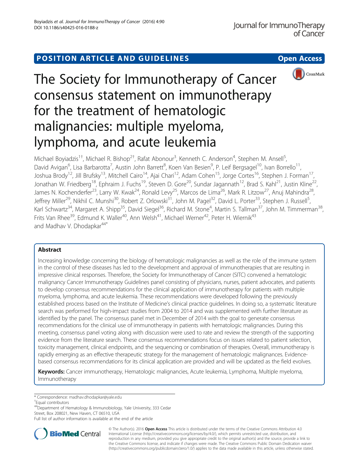POSITION ARTICLE AND GUIDELINES **Solution Communist Communist Communist Communist Communist Communist Communist Communist Communist Communist Communist Communist Communist Communist Communist Communist Communist Communist** 

CrossMark

# The Society for Immunotherapy of Cancer consensus statement on immunotherapy for the treatment of hematologic malignancies: multiple myeloma, lymphoma, and acute leukemia

Michael Boyiadzis<sup>1†</sup>, Michael R. Bishop<sup>2†</sup>, Rafat Abonour<sup>3</sup>, Kenneth C. Anderson<sup>4</sup>, Stephen M. Ansell<sup>5</sup> , David Avigan<sup>6</sup>, Lisa Barbarotta<sup>7</sup>, Austin John Barrett<sup>8</sup>, Koen Van Besien<sup>9</sup>, P. Leif Bergsagel<sup>10</sup>, Ivan Borrello<sup>11</sup>, Joshua Brody<sup>12</sup>, Jill Brufsky<sup>13</sup>, Mitchell Cairo<sup>14</sup>, Ajai Chari<sup>12</sup>, Adam Cohen<sup>15</sup>, Jorge Cortes<sup>16</sup>, Stephen J. Forman<sup>17</sup> Jonathan W. Friedberg<sup>18</sup>, Ephraim J. Fuchs<sup>19</sup>, Steven D. Gore<sup>20</sup>, Sundar Jagannath<sup>12</sup>, Brad S. Kahl<sup>21</sup>, Justin Kline<sup>22</sup> James N. Kochenderfer<sup>23</sup>, Larry W. Kwak<sup>24</sup>, Ronald Levy<sup>25</sup>, Marcos de Lima<sup>26</sup>, Mark R. Litzow<sup>27</sup>, Anuj Mahindra<sup>28</sup>, Jeffrey Miller<sup>29</sup>, Nikhil C. Munshi<sup>30</sup>, Robert Z. Orlowski<sup>31</sup>, John M. Pagel<sup>32</sup>, David L. Porter<sup>33</sup>, Stephen J. Russell<sup>5</sup>, , Karl Schwartz<sup>34</sup>, Margaret A. Shipp<sup>35</sup>, David Siegel<sup>36</sup>, Richard M. Stone<sup>4</sup>, Martin S. Tallman<sup>37</sup>, John M. Timmerman<sup>38</sup>, Frits Van Rhee<sup>39</sup>, Edmund K. Waller<sup>40</sup>, Ann Welsh<sup>41</sup>, Michael Werner<sup>42</sup>, Peter H. Wiernik<sup>43</sup> and Madhav V. Dhodapkar<sup>44\*</sup>

# Abstract

Increasing knowledge concerning the biology of hematologic malignancies as well as the role of the immune system in the control of these diseases has led to the development and approval of immunotherapies that are resulting in impressive clinical responses. Therefore, the Society for Immunotherapy of Cancer (SITC) convened a hematologic malignancy Cancer Immunotherapy Guidelines panel consisting of physicians, nurses, patient advocates, and patients to develop consensus recommendations for the clinical application of immunotherapy for patients with multiple myeloma, lymphoma, and acute leukemia. These recommendations were developed following the previously established process based on the Institute of Medicine's clinical practice guidelines. In doing so, a systematic literature search was performed for high-impact studies from 2004 to 2014 and was supplemented with further literature as identified by the panel. The consensus panel met in December of 2014 with the goal to generate consensus recommendations for the clinical use of immunotherapy in patients with hematologic malignancies. During this meeting, consensus panel voting along with discussion were used to rate and review the strength of the supporting evidence from the literature search. These consensus recommendations focus on issues related to patient selection, toxicity management, clinical endpoints, and the sequencing or combination of therapies. Overall, immunotherapy is rapidly emerging as an effective therapeutic strategy for the management of hematologic malignances. Evidencebased consensus recommendations for its clinical application are provided and will be updated as the field evolves.

Keywords: Cancer immunotherapy, Hematologic malignancies, Acute leukemia, Lymphoma, Multiple myeloma, Immunotherapy

\* Correspondence: [madhav.dhodapkar@yale.edu](mailto:madhav.dhodapkar@yale.edu) †

<sup>T</sup>Equal contributors<br><sup>44</sup>Department of Hematology & Immunobiology, Yale University, 333 Cedar Street, Box 208021, New Haven, CT 06510, USA

Full list of author information is available at the end of the article



© The Author(s). 2016 Open Access This article is distributed under the terms of the Creative Commons Attribution 4.0 International License [\(http://creativecommons.org/licenses/by/4.0/](http://creativecommons.org/licenses/by/4.0/)), which permits unrestricted use, distribution, and reproduction in any medium, provided you give appropriate credit to the original author(s) and the source, provide a link to the Creative Commons license, and indicate if changes were made. The Creative Commons Public Domain Dedication waiver [\(http://creativecommons.org/publicdomain/zero/1.0/](http://creativecommons.org/publicdomain/zero/1.0/)) applies to the data made available in this article, unless otherwise stated.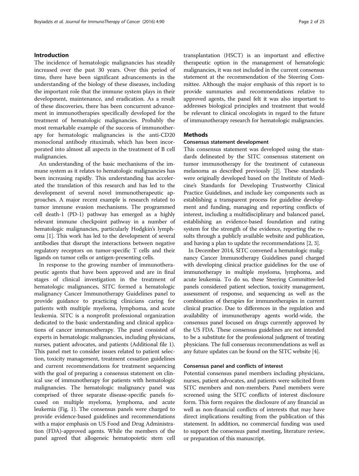## Introduction

The incidence of hematologic malignancies has steadily increased over the past 30 years. Over this period of time, there have been significant advancements in the understanding of the biology of these diseases, including the important role that the immune system plays in their development, maintenance, and eradication. As a result of these discoveries, there has been concurrent advancement in immunotherapies specifically developed for the treatment of hematologic malignancies. Probably the most remarkable example of the success of immunotherapy for hematologic malignancies is the anti-CD20 monoclonal antibody rituximab, which has been incorporated into almost all aspects in the treatment of B cell malignancies.

An understanding of the basic mechanisms of the immune system as it relates to hematologic malignancies has been increasing rapidly. This understanding has accelerated the translation of this research and has led to the development of several novel immunotherapeutic approaches. A major recent example is research related to tumor immune evasion mechanisms. The programmed cell death-1 (PD-1) pathway has emerged as a highly relevant immune checkpoint pathway in a number of hematologic malignancies, particularly Hodgkin's lymphoma [\[1](#page-18-0)]. This work has led to the development of several antibodies that disrupt the interactions between negative regulatory receptors on tumor-specific T cells and their ligands on tumor cells or antigen-presenting cells.

In response to the growing number of immunotherapeutic agents that have been approved and are in final stages of clinical investigation in the treatment of hematologic malignances, SITC formed a hematologic malignancy Cancer Immunotherapy Guidelines panel to provide guidance to practicing clinicians caring for patients with multiple myeloma, lymphoma, and acute leukemia. SITC is a nonprofit professional organization dedicated to the basic understanding and clinical applications of cancer immunotherapy. The panel consisted of experts in hematologic malignancies, including physicians, nurses, patient advocates, and patients (Additional file [1](#page-17-0)). This panel met to consider issues related to patient selection, toxicity management, treatment cessation guidelines and current recommendations for treatment sequencing with the goal of preparing a consensus statement on clinical use of immunotherapy for patients with hematologic malignancies. The hematologic malignancy panel was comprised of three separate disease-specific panels focused on multiple myeloma, lymphoma, and acute leukemia (Fig. [1](#page-2-0)). The consensus panels were charged to provide evidence-based guidelines and recommendations with a major emphasis on US Food and Drug Administration (FDA)-approved agents. While the members of the panel agreed that allogeneic hematopoietic stem cell transplantation (HSCT) is an important and effective therapeutic option in the management of hematologic malignancies, it was not included in the current consensus statement at the recommendation of the Steering Committee. Although the major emphasis of this report is to provide summaries and recommendations relative to approved agents, the panel felt it was also important to addresses biological principles and treatment that would be relevant to clinical oncologists in regard to the future of immunotherapy research for hematologic malignancies.

## **Methods**

#### Consensus statement development

This consensus statement was developed using the standards delineated by the SITC consensus statement on tumor immunotherapy for the treatment of cutaneous melanoma as described previously [\[2](#page-18-0)]. These standards were originally developed based on the Institute of Medicine's Standards for Developing Trustworthy Clinical Practice Guidelines, and include key components such as establishing a transparent process for guideline development and funding, managing and reporting conflicts of interest, including a multidisciplinary and balanced panel, establishing an evidence-based foundation and rating system for the strength of the evidence, reporting the results through a publicly available website and publication, and having a plan to update the recommendations [[2](#page-18-0), [3](#page-18-0)].

In December 2014, SITC convened a hematologic malignancy Cancer Immunotherapy Guidelines panel charged with developing clinical practice guidelines for the use of immunotherapy in multiple myeloma, lymphoma, and acute leukemia. To do so, these Steering Committee-led panels considered patient selection, toxicity management, assessment of response, and sequencing as well as the combination of therapies for immunotherapies in current clinical practice. Due to differences in the regulation and availability of immunotherapy agents world-wide, the consensus panel focused on drugs currently approved by the US FDA. These consensus guidelines are not intended to be a substitute for the professional judgment of treating physicians. The full consensus recommendations as well as any future updates can be found on the SITC website [\[4\]](#page-18-0).

#### Consensus panel and conflicts of interest

Potential consensus panel members including physicians, nurses, patient advocates, and patients were solicited from SITC members and non-members. Panel members were screened using the SITC conflicts of interest disclosure form. This form requires the disclosure of any financial as well as non-financial conflicts of interests that may have direct implications resulting from the publication of this statement. In addition, no commercial funding was used to support the consensus panel meeting, literature review, or preparation of this manuscript.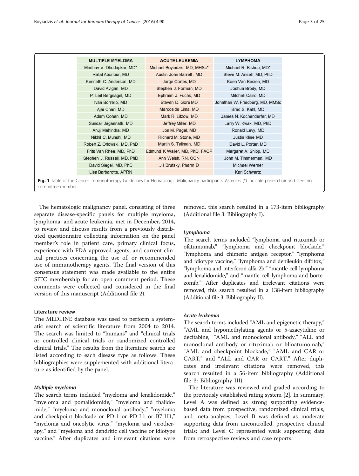<span id="page-2-0"></span>

| <b>MULTIPLE MYELOMA</b>     | <b>ACUTE LEUKEMIA</b>          | <b>LYMPHOMA</b>                 |
|-----------------------------|--------------------------------|---------------------------------|
| Madhav V. Dhodapkar, MD*    | Michael Boyiadzis, MD, MHSc*   | Michael R. Bishop, MD*          |
| Rafat Abonour, MD           | Austin John Barrett, MD        | Steve M. Ansell, MD, PhD        |
| Kenneth C. Anderson, MD     | Jorge Cortes, MD               | Koen Van Besien, MD             |
| David Avigan, MD            | Stephen J. Forman, MD          | Joshua Brody, MD                |
| P. Leif Bergsagel, MD       | Ephraim J. Fuchs, MD           | Mitchell Cairo, MD              |
| Ivan Borrello, MD           | Steven D. Gore MD              | Jonathan W. Friedberg, MD, MMSc |
| Ajai Chari, MD              | Marcos de Lima, MD             | Brad S. Kahl, MD                |
| Adam Cohen, MD              | Mark R. Litzow, MD             | James N. Kochenderfer, MD       |
| Sundar Jagannath, MD        | Jeffrey Miller, MD             | Larry W. Kwak, MD, PhD          |
| Anuj Mahindra, MD           | Jon M. Pagel, MD               | Ronald Levy, MD                 |
| Nikhil C. Munshi, MD        | Richard M. Stone, MD           | Justin Kline MD                 |
| Robert Z. Orlowski, MD, PhD | Martin S. Tallman, MD          | David L. Porter, MD             |
| Frits Van Rhee, MD, PhD     | Edmund K Waller, MD, PhD, FACP | Margaret A. Shipp, MD           |
| Stephen J. Russell, MD, PhD | Ann Welsh, RN, OCN             | John M. Timmerman, MD           |
| David Siegel, MD, PhD       | Jill Brufsky, Pharm D          | <b>Michael Werner</b>           |
| Lisa Barbarotta, APRN       |                                | Karl Schwartz                   |

committee member

The hematologic malignancy panel, consisting of three separate disease-specific panels for multiple myeloma, lymphoma, and acute leukemia, met in December, 2014, to review and discuss results from a previously distributed questionnaire collecting information on the panel member's role in patient care, primary clinical focus, experience with FDA-approved agents, and current clinical practices concerning the use of, or recommended use of immunotherapy agents. The final version of this consensus statement was made available to the entire SITC membership for an open comment period. These comments were collected and considered in the final version of this manuscript (Additional file [2](#page-17-0)).

## Literature review

The MEDLINE database was used to perform a systematic search of scientific literature from 2004 to 2014. The search was limited to "humans" and "clinical trials or controlled clinical trials or randomized controlled clinical trials." The results from the literature search are listed according to each disease type as follows. These bibliographies were supplemented with additional literature as identified by the panel.

#### Multiple myeloma

The search terms included "myeloma and lenalidomide," "myeloma and pomalidomide," "myeloma and thalidomide," "myeloma and monoclonal antibody," "myeloma and checkpoint blockade or PD-1 or PD-L1 or B7-H1," "myeloma and oncolytic virus," "myeloma and virotherapy," and "myeloma and dendritic cell vaccine or idiotype vaccine." After duplicates and irrelevant citations were removed, this search resulted in a 173-item bibliography (Additional file [3](#page-17-0): Bibliography I).

## Lymphoma

The search terms included "lymphoma and rituximab or ofatumumab," "lymphoma and checkpoint blockade," "lymphoma and chimeric antigen receptor," "lymphoma and idiotype vaccine," "lymphoma and denileukin diftitox," "lymphoma and interferon alfa-2b," "mantle cell lymphoma and lenalidomide," and "mantle cell lymphoma and bortezomib." After duplicates and irrelevant citations were removed, this search resulted in a 138-item bibliography (Additional file [3:](#page-17-0) Bibliography II).

#### Acute leukemia

The search terms included "AML and epigenetic therapy," "AML and hypomethylating agents or 5-azacytidine or decitabine," "AML and monoclonal antibody," "ALL and monoclonal antibody or rituximab or blinatumomab," "AML and checkpoint blockade," "AML and CAR or CART," and "ALL and CAR or CART." After duplicates and irrelevant citations were removed, this search resulted in a 56-item bibliography (Additional file [3](#page-17-0): Bibliography III).

The literature was reviewed and graded according to the previously established rating system [[2\]](#page-18-0). In summary, Level A was defined as strong supporting evidencebased data from prospective, randomized clinical trials, and meta-analyses; Level B was defined as moderate supporting data from uncontrolled, prospective clinical trials; and Level C represented weak supporting data from retrospective reviews and case reports.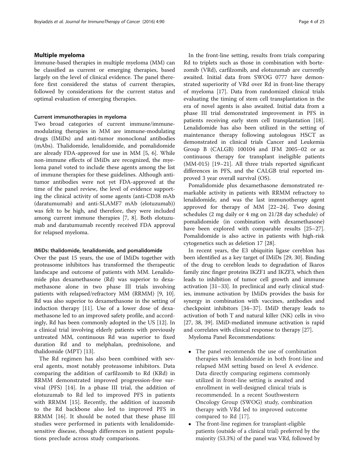## Multiple myeloma

Immune-based therapies in multiple myeloma (MM) can be classified as current or emerging therapies, based largely on the level of clinical evidence. The panel therefore first considered the status of current therapies, followed by considerations for the current status and optimal evaluation of emerging therapies.

#### Current immunotherapies in myeloma

Two broad categories of current immune/immunemodulating therapies in MM are immune-modulating drugs (IMiDs) and anti-tumor monoclonal antibodies (mAbs). Thalidomide, lenalidomide, and pomalidomide are already FDA-approved for use in MM [[5, 6\]](#page-18-0). While non-immune effects of IMiDs are recognized, the myeloma panel voted to include these agents among the list of immune therapies for these guidelines. Although antitumor antibodies were not yet FDA-approved at the time of the panel review, the level of evidence supporting the clinical activity of some agents (anti-CD38 mAb (daratumumab) and anti-SLAMF7 mAb (elotuzumab)) was felt to be high, and therefore, they were included among current immune therapies [[7, 8](#page-18-0)]. Both elotuzumab and daratumumab recently received FDA approval for relapsed myeloma.

#### IMiDs: thalidomide, lenalidomide, and pomalidomide

Over the past 15 years, the use of IMiDs together with proteasome inhibitors has transformed the therapeutic landscape and outcome of patients with MM. Lenalidomide plus dexamethasone (Rd) was superior to dexamethasone alone in two phase III trials involving patients with relapsed/refractory MM (RRMM) [[9, 10](#page-18-0)]. Rd was also superior to dexamethasone in the setting of induction therapy [[11\]](#page-18-0). Use of a lower dose of dexamethasone led to an improved safety profile, and accordingly, Rd has been commonly adopted in the US [[12](#page-18-0)]. In a clinical trial involving elderly patients with previously untreated MM, continuous Rd was superior to fixed duration Rd and to melphalan, prednisolone, and thalidomide (MPT) [\[13\]](#page-18-0).

The Rd regimen has also been combined with several agents, most notably proteasome inhibitors. Data comparing the addition of carfilzomib to Rd (KRd) in RRMM demonstrated improved progression-free survival (PFS) [[14\]](#page-18-0). In a phase III trial, the addition of elotuzumab to Rd led to improved PFS in patients with RRMM [[15\]](#page-19-0). Recently, the addition of ixazomib to the Rd backbone also led to improved PFS in RRMM [[16\]](#page-19-0). It should be noted that these phase III studies were performed in patients with lenalidomidesensitive disease, though differences in patient populations preclude across study comparisons.

In the front-line setting, results from trials comparing Rd to triplets such as those in combination with bortezomib (VRd), carfilzomib, and elotuzumab are currently awaited. Initial data from SWOG 0777 have demonstrated superiority of VRd over Rd in front-line therapy of myeloma [[17\]](#page-19-0). Data from randomized clinical trials evaluating the timing of stem cell transplantation in the era of novel agents is also awaited. Initial data from a phase III trial demonstrated improvement in PFS in patients receiving early stem cell transplantation [\[18](#page-19-0)]. Lenalidomide has also been utilized in the setting of maintenance therapy following autologous HSCT as demonstrated in clinical trials Cancer and Leukemia Group B (CALGB) 100104 and IFM 2005–02 or as continuous therapy for transplant ineligible patients (MM-015) [\[19](#page-19-0)–[21\]](#page-19-0). All three trials reported significant differences in PFS, and the CALGB trial reported improved 3 year overall survival (OS).

Pomalidomide plus dexamethasone demonstrated remarkable activity in patients with RRMM refractory to lenalidomide, and was the last immunotherapy agent approved for therapy of MM [[22](#page-19-0)–[24](#page-19-0)]. Two dosing schedules (2 mg daily or 4 mg on 21/28 day schedule) of pomalidomide (in combination with dexamethasone) have been explored with comparable results [[25](#page-19-0)–[27](#page-19-0)]. Pomalidomide is also active in patients with high-risk cytogenetics such as deletion 17 [\[28](#page-19-0)].

In recent years, the E3 ubiquitin ligase cereblon has been identified as a key target of IMiDs [[29](#page-19-0), [30\]](#page-19-0). Binding of the drug to cereblon leads to degradation of Ikaros family zinc finger proteins IKZF1 and IKZF3, which then leads to inhibition of tumor cell growth and immune activation [\[31](#page-19-0)–[33\]](#page-19-0). In preclinical and early clinical studies, immune activation by IMiDs provides the basis for synergy in combination with vaccines, antibodies and checkpoint inhibitors [[34](#page-19-0)–[37](#page-19-0)]. IMiD therapy leads to activation of both T and natural killer (NK) cells in vivo [[27, 38, 39](#page-19-0)]. IMiD-mediated immune activation is rapid and correlates with clinical response to therapy [\[27](#page-19-0)]. Myeloma Panel Recommendations:

- The panel recommends the use of combination therapies with lenalidomide in both front-line and relapsed MM setting based on level A evidence. Data directly comparing regimens commonly utilized in front-line setting is awaited and enrollment in well-designed clinical trials is recommended. In a recent Southwestern Oncology Group (SWOG) study, combination therapy with VRd led to improved outcome compared to Rd [[17\]](#page-19-0).
- The front-line regimen for transplant-eligible patients (outside of a clinical trial) preferred by the majority (53.3%) of the panel was VRd, followed by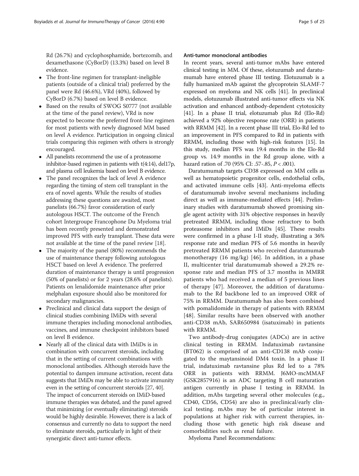Rd (26.7%) and cyclophosphamide, bortezomib, and dexamethasone (CyBorD) (13.3%) based on level B evidence.

- The front-line regimen for transplant-ineligible patients (outside of a clinical trial) preferred by the panel were Rd (46.6%), VRd (40%), followed by CyBorD (6.7%) based on level B evidence.
- Based on the results of SWOG S0777 (not available at the time of the panel review), VRd is now expected to become the preferred front-line regimen for most patients with newly diagnosed MM based on level A evidence. Participation in ongoing clinical trials comparing this regimen with others is strongly encouraged.
- All panelists recommend the use of a proteasome inhibitor-based regimen in patients with t(4:14), del17p, and plasma cell leukemia based on level B evidence.
- The panel recognizes the lack of level A evidence regarding the timing of stem cell transplant in the era of novel agents. While the results of studies addressing these questions are awaited, most panelists (66.7%) favor consideration of early autologous HSCT. The outcome of the French cohort Intergroupe Francophone Du Myeloma trial has been recently presented and demonstrated improved PFS with early transplant. These data were not available at the time of the panel review [\[18\]](#page-19-0).
- The majority of the panel (80%) recommends the use of maintenance therapy following autologous HSCT based on level A evidence. The preferred duration of maintenance therapy is until progression (50% of panelists) or for 2 years (28.6% of panelists). Patients on lenalidomide maintenance after prior melphalan exposure should also be monitored for secondary malignancies.
- Preclinical and clinical data support the design of clinical studies combining IMiDs with several immune therapies including monoclonal antibodies, vaccines, and immune checkpoint inhibitors based on level B evidence.
- Nearly all of the clinical data with IMiDs is in combination with concurrent steroids, including that in the setting of current combinations with monoclonal antibodies. Although steroids have the potential to dampen immune activation, recent data suggests that IMiDs may be able to activate immunity even in the setting of concurrent steroids [\[27](#page-19-0), [40\]](#page-19-0). The impact of concurrent steroids on IMiD-based immune therapies was debated, and the panel agreed that minimizing (or eventually eliminating) steroids would be highly desirable. However, there is a lack of consensus and currently no data to support the need to eliminate steroids, particularly in light of their synergistic direct anti-tumor effects.

In recent years, several anti-tumor mAbs have entered clinical testing in MM. Of these, elotuzumab and daratumumab have entered phase III testing. Elotuzumab is a fully humanized mAb against the glycoprotein SLAMF-7 expressed on myeloma and NK cells [\[41\]](#page-19-0). In preclinical models, elotuzumab illustrated anti-tumor effects via NK activation and enhanced antibody-dependent cytotoxicity [[41](#page-19-0)]. In a phase II trial, elotuzumab plus Rd (Elo-Rd) achieved a 92% objective response rate (ORR) in patients with RRMM [\[42\]](#page-19-0). In a recent phase III trial, Elo-Rd led to an improvement in PFS compared to Rd in patients with RRMM, including those with high-risk features [[15](#page-19-0)]. In this study, median PFS was 19.4 months in the Elo-Rd group vs. 14.9 months in the Rd group alone, with a hazard ration of .70 (95% CI: .57-.85,  $P < .001$ ).

Daratumumab targets CD38 expressed on MM cells as well as hematopoietic progenitor cells, endothelial cells, and activated immune cells [\[43](#page-19-0)]. Anti-myeloma effects of daratumumab involve several mechanisms including direct as well as immune-mediated effects [\[44\]](#page-19-0). Preliminary studies with daratumumab showed promising single agent activity with 31% objective responses in heavily pretreated RRMM, including those refractory to both proteasome inhibitors and IMiDs [\[45\]](#page-19-0). These results were confirmed in a phase I-II study, illustrating a 36% response rate and median PFS of 5.6 months in heavily pretreated RRMM patients who received daratumumab monotherapy (16 mg/kg) [[46\]](#page-19-0). In addition, in a phase II, multicenter trial daratumumab showed a 29.2% response rate and median PFS of 3.7 months in MMRR patients who had received a median of 5 previous lines of therapy [[47](#page-19-0)]. Moreover, the addition of daratumumab to the Rd backbone led to an improved ORR of 75% in RRMM. Daratumumab has also been combined with pomalidomide in therapy of patients with RRMM [[48](#page-19-0)]. Similar results have been observed with another anti-CD38 mAb, SAR650984 (isatuximab) in patients with RRMM.

Two antibody-drug conjugates (ADCs) are in active clinical testing in RRMM. Indatuximab ravtansine (BT062) is comprised of an anti-CD138 mAb conjugated to the maytansinoid DM4 toxin. In a phase II trial, indatuximab ravtansine plus Rd led to a 78% ORR in patients with RRMM. J6MO-mcMMAF (GSK2857916) is an ADC targeting B cell maturation antigen currently in phase I testing in RRMM. In addition, mAbs targeting several other molecules (e.g., CD40, CD56, CD54) are also in preclinical/early clinical testing. mAbs may be of particular interest in populations at higher risk with current therapies, including those with genetic high risk disease and comorbidities such as renal failure.

Myeloma Panel Recommendations: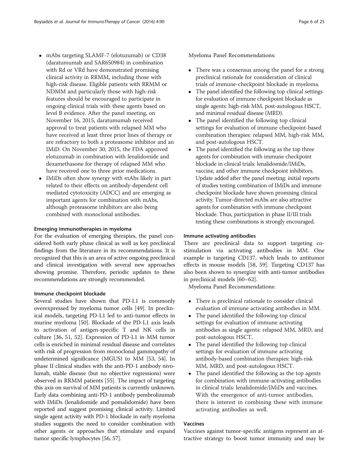- mAbs targeting SLAMF-7 (elotuzumab) or CD38 (daratumumab and SAR650984) in combination with Rd or VRd have demonstrated promising clinical activity in RRMM, including those with high-risk disease. Eligible patients with RRMM or NDMM and particularly those with high-risk features should be encouraged to participate in ongoing clinical trials with these agents based on level B evidence. After the panel meeting, on November 16, 2015, daratumumab received approval to treat patients with relapsed MM who have received at least three prior lines of therapy or are refractory to both a proteasome inhibitor and an IMiD. On November 30, 2015, the FDA approved elotuzumab in combination with lenalidomide and dexamethasone for therapy of relapsed MM who have received one to three prior medications.
- IMiDs often show synergy with mAbs likely in part related to their effects on antibody-dependent cell mediated cytotoxicity (ADCC) and are emerging as important agents for combination with mAbs, although proteasome inhibitors are also being combined with monoclonal antibodies.

#### Emerging immunotherapies in myeloma

For the evaluation of emerging therapies, the panel considered both early phase clinical as well as key preclinical findings from the literature in its recommendations. It is recognized that this is an area of active ongoing preclinical and clinical investigation with several new approaches showing promise. Therefore, periodic updates to these recommendations are strongly recommended.

#### Immune checkpoint blockade

Several studies have shown that PD-L1 is commonly overexpressed by myeloma tumor cells [[49\]](#page-19-0). In preclinical models, targeting PD-L1 led to anti-tumor effects in murine myeloma [[50\]](#page-19-0). Blockade of the PD-L1 axis leads to activation of antigen-specific T and NK cells in culture [\[36](#page-19-0), [51,](#page-19-0) [52](#page-20-0)]. Expression of PD-L1 in MM tumor cells is enriched in minimal residual disease and correlates with risk of progression from monoclonal gammopathy of undetermined significance (MGUS) to MM [\[53, 54](#page-20-0)]. In phase II clinical studies with the anti-PD-1 antibody nivolumab, stable disease (but no objective regressions) were observed in RRMM patients [\[55\]](#page-20-0). The impact of targeting this axis on survival of MM patients is currently unknown. Early data combining anti-PD-1 antibody pembrolizumab with IMiDs (lenalidomide and pomalidomide) have been reported and suggest promising clinical activity. Limited single agent activity with PD-1 blockade in early myeloma studies suggests the need to consider combination with other agents or approaches that stimulate and expand tumor specific lymphocytes [\[56, 57](#page-20-0)].

Myeloma Panel Recommendations:

- There was a consensus among the panel for a strong preclinical rationale for consideration of clinical trials of immune-checkpoint blockade in myeloma.
- The panel identified the following top clinical settings for evaluation of immune checkpoint blockade as single agents: high-risk MM, post-autologous HSCT, and minimal residual disease (MRD).
- The panel identified the following top clinical settings for evaluation of immune checkpoint-based combination therapies: relapsed MM, high-risk MM, and post-autologous HSCT.
- The panel identified the following as the top three agents for combination with immune checkpoint blockade in clinical trials: lenalidomide/IMiDs, vaccine, and other immune checkpoint inhibitors. Update added after the panel meeting: initial reports of studies testing combination of IMiDs and immune checkpoint blockade have shown promising clinical activity. Tumor-directed mAbs are also attractive agents for combination with immune checkpoint blockade. Thus, participation in phase II/III trials testing these combinations is strongly encouraged.

#### Immune activating antibodies

There are preclinical data to support targeting costimulation via activating antibodies in MM. One example is targeting CD137, which leads to antitumor effects in mouse models [\[58](#page-20-0), [59](#page-20-0)]. Targeting CD137 has also been shown to synergize with anti-tumor antibodies in preclinical models [\[60](#page-20-0)–[62\]](#page-20-0).

Myeloma Panel Recommendations:

- There is preclinical rationale to consider clinical evaluation of immune activating antibodies in MM.
- The panel identified the following top clinical settings for evaluation of immune activating antibodies as single agents: relapsed MM, MRD, and post-autologous HSCT.
- The panel identified the following top clinical settings for evaluation of immune activating antibody-based combination therapies: high-risk MM, MRD, and post-autologous HSCT.
- The panel identified the following as the top agents for combination with immune-activating antibodies in clinical trials: lenalidomide/IMiDs and vaccines. With the emergence of anti-tumor antibodies, there is interest in combining these with immune activating antibodies as well.

## Vaccines

Vaccines against tumor-specific antigens represent an attractive strategy to boost tumor immunity and may be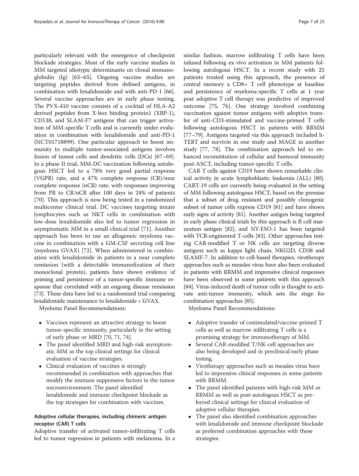particularly relevant with the emergence of checkpoint blockade strategies. Most of the early vaccine studies in MM targeted idiotypic determinants on clonal immunoglobulin (Ig) [[63](#page-20-0)–[65](#page-20-0)]. Ongoing vaccine studies are targeting peptides derived from defined antigens, in combination with lenalidomide and with anti-PD-1 [\[66](#page-20-0)]. Several vaccine approaches are in early phase testing. The PVX-410 vaccine consists of a cocktail of HLA-A2 derived peptides from X-box binding protein1 (XBP-1), CD138, and SLAM-F7 antigens that can trigger activation of MM-specific T cells and is currently under evaluation in combination with lenalidomide and anti-PD-1 (NCT01718899). One particular approach to boost immunity to multiple tumor-associated antigens involves fusion of tumor cells and dendritic cells (DCs) [[67](#page-20-0)–[69](#page-20-0)]. In a phase II trial, MM-DC vaccination following autologous HSCT led to a 78% very good partial response (VGPR) rate, and a 47% complete response (CR)/near complete response (nCR) rate, with responses improving from PR to CR/nCR after 100 days in 24% of patients [[70\]](#page-20-0). This approach is now being tested in a randomized multicenter clinical trial. DC vaccines targeting innate lymphocytes such as NKT cells in combination with low-dose lenalidomide also led to tumor regression in asymptomatic MM in a small clinical trial [[71\]](#page-20-0). Another approach has been to use an allogeneic myeloma vaccine in combination with a GM-CSF secreting cell line (myeloma GVAX) [[72\]](#page-20-0). When administered in combination with lenalidomide in patients in a near complete remission (with a detectable immunofixation of their monoclonal protein), patients have shown evidence of priming and persistence of a tumor-specific immune response that correlated with an ongoing disease remission [[73](#page-20-0)]. These data have led to a randomized trial comparing lenalidomide maintenance to lenalidomide + GVAX.

Myeloma Panel Recommendations:

- Vaccines represent an attractive strategy to boost tumor-specific immunity, particularly in the setting of early phase or MRD [[70,](#page-20-0) [71](#page-20-0), [74\]](#page-20-0).
- The panel identified MRD and high-risk asymptomatic MM as the top clinical settings for clinical evaluation of vaccine strategies.
- Clinical evaluation of vaccines is strongly recommended in combination with approaches that modify the immune suppressive factors in the tumor microenvironment. The panel identified lenalidomide and immune checkpoint blockade as the top strategies for combination with vaccines.

## Adoptive cellular therapies, including chimeric antigen receptor (CAR) T cells

Adoptive transfer of activated tumor-infiltrating T cells led to tumor regression in patients with melanoma. In a similar fashion, marrow infiltrating T cells have been infused following ex vivo activation in MM patients following autologous HSCT. In a recent study with 25 patients treated using this approach, the presence of central memory a CD8+ T cell phenotype at baseline and persistence of myeloma-specific T cells at 1 year post adoptive T cell therapy was predictive of improved outcome [\[75](#page-20-0), [76](#page-20-0)]. One strategy involved combining vaccination against tumor antigens with adoptive transfer of anti-CD3-stimulated and vaccine-primed T cells following autologous HSCT in patients with RRMM [[77](#page-20-0)–[79](#page-20-0)]. Antigens targeted via this approach included h-TERT and survivin in one study and MAGE in another study [\[77, 78](#page-20-0)]. The combination approach led to enhanced reconstitution of cellular and humoral immunity post-ASCT, including tumor-specific T cells.

CAR T cells against CD19 have shown remarkable clinical activity in acute lymphoblastic leukemia (ALL) [[80](#page-20-0)]. CART-19 cells are currently being evaluated in the setting of MM following autologous HSCT, based on the premise that a subset of drug resistant and possibly clonogenic subset of tumor cells express CD19 [\[81\]](#page-20-0) and have shown early signs of activity [[81](#page-20-0)]. Another antigen being targeted in early phase clinical trials by this approach is B cell maturation antigen [\[82](#page-20-0)], and NY-ESO-1 has been targeted with TCR-engineered T-cells [\[83\]](#page-20-0). Other approaches testing CAR-modified T or NK cells are targeting diverse antigens such as kappa light chain, NKG2D, CD38 and SLAMF-7. In addition to cell-based therapies, virotherapy approaches such as measles virus have also been evaluated in patients with RRMM and impressive clinical responses have been observed in some patients with this approach [[84](#page-20-0)]. Virus-induced death of tumor cells is thought to activate anti-tumor immunity, which sets the stage for combination approaches [[85](#page-20-0)].

Myeloma Panel Recommendations:

- Adoptive transfer of costimulated/vaccine-primed T cells as well as marrow infiltrating T cells is a promising strategy for immunotherapy of MM.
- Several CAR-modified T/NK cell approaches are also being developed and in preclinical/early phase testing.
- Virotherapy approaches such as measles virus have led to impressive clinical responses in some patients with RRMM.
- The panel identified patients with high-risk MM or RRMM as well as post-autologous HSCT as preferred clinical settings for clinical evaluation of adoptive cellular therapies.
- The panel also identified combination approaches with lenalidomide and immune checkpoint blockade as preferred combination approaches with these strategies.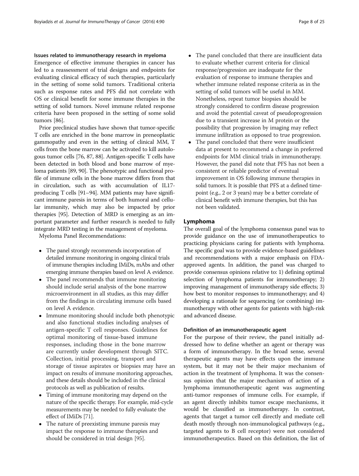## Issues related to immunotherapy research in myeloma

Emergence of effective immune therapies in cancer has led to a reassessment of trial designs and endpoints for evaluating clinical efficacy of such therapies, particularly in the setting of some solid tumors. Traditional criteria such as response rates and PFS did not correlate with OS or clinical benefit for some immune therapies in the setting of solid tumors. Novel immune related response criteria have been proposed in the setting of some solid tumors [\[86\]](#page-20-0).

Prior preclinical studies have shown that tumor-specific T cells are enriched in the bone marrow in preneoplastic gammopathy and even in the setting of clinical MM, T cells from the bone marrow can be activated to kill autologous tumor cells [\[76, 87, 88](#page-20-0)]. Antigen-specific T cells have been detected in both blood and bone marrow of myeloma patients [\[89, 90](#page-21-0)]. The phenotypic and functional profile of immune cells in the bone marrow differs from that in circulation, such as with accumulation of IL17 producing T cells [[91](#page-21-0)–[94\]](#page-21-0). MM patients may have significant immune paresis in terms of both humoral and cellular immunity, which may also be impacted by prior therapies [[95](#page-21-0)]. Detection of MRD is emerging as an important parameter and further research is needed to fully integrate MRD testing in the management of myeloma.

Myeloma Panel Recommendations:

- The panel strongly recommends incorporation of detailed immune monitoring in ongoing clinical trials of immune therapies including IMiDs, mAbs and other emerging immune therapies based on level A evidence.
- The panel recommends that immune monitoring should include serial analysis of the bone marrow microenvironment in all studies, as this may differ from the findings in circulating immune cells based on level A evidence.
- Immune monitoring should include both phenotypic and also functional studies including analyses of antigen-specific T cell responses. Guidelines for optimal monitoring of tissue-based immune responses, including those in the bone marrow are currently under development through SITC. Collection, initial processing, transport and storage of tissue aspirates or biopsies may have an impact on results of immune monitoring approaches, and these details should be included in the clinical protocols as well as publication of results.
- Timing of immune monitoring may depend on the nature of the specific therapy. For example, mid-cycle measurements may be needed to fully evaluate the effect of IMiDs [\[71\]](#page-20-0).
- The nature of preexisting immune paresis may impact the response to immune therapies and should be considered in trial design [\[95\]](#page-21-0).
- The panel concluded that there are insufficient data to evaluate whether current criteria for clinical response/progression are inadequate for the evaluation of response to immune therapies and whether immune related response criteria as in the
- setting of solid tumors will be useful in MM. Nonetheless, repeat tumor biopsies should be strongly considered to confirm disease progression and avoid the potential caveat of pseudoprogression due to a transient increase in M protein or the possibility that progression by imaging may reflect immune infiltration as opposed to true progression.
- The panel concluded that there were insufficient data at present to recommend a change in preferred endpoints for MM clinical trials in immunotherapy. However, the panel did note that PFS has not been a consistent or reliable predictor of eventual improvement in OS following immune therapies in solid tumors. It is possible that PFS at a defined timepoint (e.g., 2 or 3 years) may be a better correlate of clinical benefit with immune therapies, but this has not been validated.

#### Lymphoma

The overall goal of the lymphoma consensus panel was to provide guidance on the use of immunotherapeutics to practicing physicians caring for patients with lymphoma. The specific goal was to provide evidence-based guidelines and recommendations with a major emphasis on FDAapproved agents. In addition, the panel was charged to provide consensus opinions relative to: 1) defining optimal selection of lymphoma patients for immunotherapy; 2) improving management of immunotherapy side effects; 3) how best to monitor responses to immunotherapy; and 4) developing a rationale for sequencing (or combining) immunotherapy with other agents for patients with high-risk and advanced disease.

#### Definition of an immunotherapeutic agent

For the purpose of their review, the panel initially addressed how to define whether an agent or therapy was a form of immunotherapy. In the broad sense, several therapeutic agents may have effects upon the immune system, but it may not be their major mechanism of action in the treatment of lymphoma. It was the consensus opinion that the major mechanism of action of a lymphoma immunotherapeutic agent was augmenting anti-tumor responses of immune cells. For example, if an agent directly inhibits tumor escape mechanisms, it would be classified as immunotherapy. In contrast, agents that target a tumor cell directly and mediate cell death mostly through non-immunological pathways (e.g., targeted agents to B cell receptor) were not considered immunotherapeutics. Based on this definition, the list of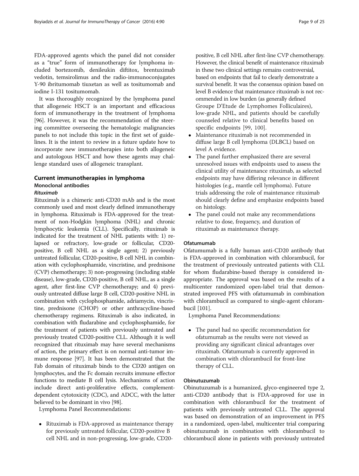FDA-approved agents which the panel did not consider as a "true" form of immunotherapy for lymphoma included bortezomib, denileukin diftitox, brentuximab vedotin, temsirolimus and the radio-immunoconjugates Y-90 ibritumomab tiuxetan as well as tositumomab and iodine I-131 tositumomab.

It was thoroughly recognized by the lymphoma panel that allogeneic HSCT is an important and efficacious form of immunotherapy in the treatment of lymphoma [[96\]](#page-21-0). However, it was the recommendation of the steering committee overseeing the hematologic malignancies panels to not include this topic in the first set of guidelines. It is the intent to review in a future update how to incorporate new immunotherapies into both allogeneic and autologous HSCT and how these agents may challenge standard uses of allogeneic transplant.

## Current immunotherapies in lymphoma

## Monoclonal antibodies

## Rituximab

Rituximab is a chimeric anti-CD20 mAb and is the most commonly used and most clearly defined immunotherapy in lymphoma. Rituximab is FDA-approved for the treatment of non-Hodgkin lymphoma (NHL) and chronic lymphocytic leukemia (CLL). Specifically, rituximab is indicated for the treatment of NHL patients with: 1) relapsed or refractory, low-grade or follicular, CD20 positive, B cell NHL as a single agent; 2) previously untreated follicular, CD20-positive, B cell NHL in combination with cyclophosphamide, vincristine, and prednisone (CVP) chemotherapy; 3) non-progressing (including stable disease), low-grade, CD20-positive, B cell NHL, as a single agent, after first-line CVP chemotherapy; and 4) previously untreated diffuse large B cell, CD20-positive NHL in combination with cyclophosphamide, adriamycin, vincristine, prednisone (CHOP) or other anthracycline-based chemotherapy regimens. Rituximab is also indicated, in combination with fludarabine and cyclophosphamide, for the treatment of patients with previously untreated and previously treated CD20-positive CLL. Although it is well recognized that rituximab may have several mechanisms of action, the primary effect is on normal anti-tumor immune response [[97](#page-21-0)]. It has been demonstrated that the Fab domain of rituximab binds to the CD20 antigen on lymphocytes, and the Fc domain recruits immune effector functions to mediate B cell lysis. Mechanisms of action include direct anti-proliferative effects, complementdependent cytotoxicity (CDC), and ADCC, with the latter believed to be dominant in vivo [\[98](#page-21-0)].

Lymphoma Panel Recommendations:

 Rituximab is FDA-approved as maintenance therapy for previously untreated follicular, CD20-positive B cell NHL and in non-progressing, low-grade, CD20-

positive, B cell NHL after first-line CVP chemotherapy. However, the clinical benefit of maintenance rituximab in these two clinical settings remains controversial, based on endpoints that fail to clearly demonstrate a survival benefit. It was the consensus opinion based on level B evidence that maintenance rituximab is not recommended in low burden (as generally defined Groupe D'Etude de Lymphomes Folliculaires), low-grade NHL, and patients should be carefully counseled relative to clinical benefits based on specific endpoints [\[99](#page-21-0), [100\]](#page-21-0).

- Maintenance rituximab is not recommended in diffuse large B cell lymphoma (DLBCL) based on level A evidence.
- The panel further emphasized there are several unresolved issues with endpoints used to assess the clinical utility of maintenance rituximab, as selected endpoints may have differing relevance in different histologies (e.g., mantle cell lymphoma). Future trials addressing the role of maintenance rituximab should clearly define and emphasize endpoints based on histology.
- The panel could not make any recommendations relative to dose, frequency, and duration of rituximab as maintenance therapy.

#### Ofatumumab

Ofatumumab is a fully human anti-CD20 antibody that is FDA-approved in combination with chlorambucil, for the treatment of previously untreated patients with CLL for whom fludarabine-based therapy is considered inappropriate. The approval was based on the results of a multicenter randomized open-label trial that demonstrated improved PFS with ofatumumab in combination with chlorambucil as compared to single-agent chlorambucil [[101](#page-21-0)].

Lymphoma Panel Recommendations:

 The panel had no specific recommendation for ofatumumab as the results were not viewed as providing any significant clinical advantages over rituximab. Ofatumumab is currently approved in combination with chlorambucil for front-line therapy of CLL.

## Obinutuzumab

Obinutuzumab is a humanized, glyco-engineered type 2, anti-CD20 antibody that is FDA-approved for use in combination with chlorambucil for the treatment of patients with previously untreated CLL. The approval was based on demonstration of an improvement in PFS in a randomized, open-label, multicenter trial comparing obinutuzumab in combination with chlorambucil to chlorambucil alone in patients with previously untreated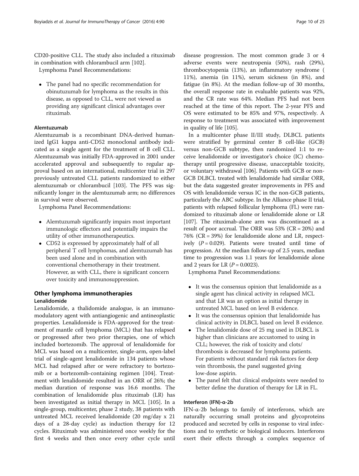CD20-positive CLL. The study also included a rituximab in combination with chlorambucil arm [[102](#page-21-0)].

Lymphoma Panel Recommendations:

 The panel had no specific recommendation for obinutuzumab for lymphoma as the results in this disease, as opposed to CLL, were not viewed as providing any significant clinical advantages over rituximab.

## Alemtuzumab

Alemtuzumab is a recombinant DNA-derived humanized IgG1 kappa anti-CD52 monoclonal antibody indicated as a single agent for the treatment of B cell CLL. Alemtuzumab was initially FDA-approved in 2001 under accelerated approval and subsequently to regular approval based on an international, multicenter trial in 297 previously untreated CLL patients randomized to either alemtuzumab or chlorambucil [\[103\]](#page-21-0). The PFS was significantly longer in the alemtuzumab arm; no differences in survival were observed.

Lymphoma Panel Recommendations:

- Alemtuzumab significantly impairs most important immunologic effectors and potentially impairs the utility of other immunotherapeutics.
- CD52 is expressed by approximately half of all peripheral T cell lymphomas, and alemtuzumab has been used alone and in combination with conventional chemotherapy in their treatment. However, as with CLL, there is significant concern over toxicity and immunosuppression.

## Other lymphoma immunotherapies Lenalidomide

Lenalidomide, a thalidomide analogue, is an immunomodulatory agent with antiangiogenic and antineoplastic properties. Lenalidomide is FDA-approved for the treatment of mantle cell lymphoma (MCL) that has relapsed or progressed after two prior therapies, one of which included bortezomib. The approval of lenalidomide for MCL was based on a multicenter, single-arm, open-label trial of single-agent lenalidomide in 134 patients whose MCL had relapsed after or were refractory to bortezomib or a bortezomib-containing regimen [\[104\]](#page-21-0). Treatment with lenalidomide resulted in an ORR of 26%; the median duration of response was 16.6 months. The combination of lenalidomide plus rituximab (LR) has been investigated as initial therapy in MCL [[105\]](#page-21-0). In a single-group, multicenter, phase 2 study, 38 patients with untreated MCL received lenalidomide (20 mg/day x 21 days of a 28-day cycle) as induction therapy for 12 cycles. Rituximab was administered once weekly for the first 4 weeks and then once every other cycle until

disease progression. The most common grade 3 or 4 adverse events were neutropenia (50%), rash (29%), thrombocytopenia (13%), an inflammatory syndrome ( 11%), anemia (in 11%), serum sickness (in 8%), and fatigue (in 8%). At the median follow-up of 30 months, the overall response rate in evaluable patients was 92%, and the CR rate was 64%. Median PFS had not been reached at the time of this report. The 2-year PFS and OS were estimated to be 85% and 97%, respectively. A response to treatment was associated with improvement in quality of life [[105](#page-21-0)].

In a multicenter phase II/III study, DLBCL patients were stratified by germinal center B cell-like (GCB) versus non-GCB subtype, then randomized 1:1 to receive lenalidomide or investigator's choice (IC) chemotherapy until progressive disease, unacceptable toxicity, or voluntary withdrawal [\[106\]](#page-21-0). Patients with GCB or non-GCB DLBCL treated with lenalidomide had similar ORR, but the data suggested greater improvements in PFS and OS with lenalidomide versus IC in the non-GCB patients, particularly the ABC subtype. In the Alliance phase II trial, patients with relapsed follicular lymphoma (FL) were randomized to rituximab alone or lenalidomide alone or LR [[107](#page-21-0)]. The rituximab-alone arm was discontinued as a result of poor accrual. The ORR was  $53\%$  (CR = 20%) and 76% (CR = 39%) for lenalidomide alone and LR, respectively  $(P = 0.029)$ . Patients were treated until time of progression. At the median follow-up of 2.5 years, median time to progression was 1.1 years for lenalidomide alone and 2 years for LR  $(P = 0.0023)$ .

Lymphoma Panel Recommendations:

- It was the consensus opinion that lenalidomide as a single agent has clinical activity in relapsed MCL and that LR was an option as initial therapy in untreated MCL based on level B evidence.
- It was the consensus opinion that lenalidomide has clinical activity in DLBCL based on level B evidence.
- The lenalidomide dose of 25 mg used in DLBCL is higher than clinicians are accustomed to using in CLL; however, the risk of toxicity and clots/ thrombosis is decreased for lymphoma patients. For patients without standard risk factors for deep vein thrombosis, the panel suggested giving low-dose aspirin.
- The panel felt that clinical endpoints were needed to better define the duration of therapy for LR in FL.

#### Interferon (IFN)-α-2b

IFN-α-2b belongs to family of interferons, which are naturally occurring small proteins and glycoproteins produced and secreted by cells in response to viral infections and to synthetic or biological inducers. Interferons exert their effects through a complex sequence of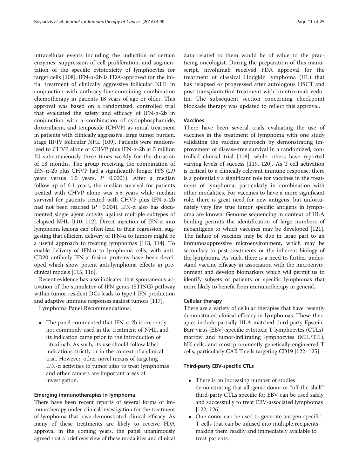intracellular events including the induction of certain enzymes, suppression of cell proliferation, and augmentation of the specific cytotoxicity of lymphocytes for target cells [\[108](#page-21-0)]. IFN-α-2b is FDA-approved for the initial treatment of clinically aggressive follicular NHL in conjunction with anthracycline-containing combination chemotherapy in patients 18 years of age or older. This approval was based on a randomized, controlled trial that evaluated the safety and efficacy of IFN-α-2b in conjunction with a combination of cyclophosphamide, doxorubicin, and teniposide (CHVP) as initial treatment in patients with clinically aggressive, large tumor burden, stage III/IV follicular NHL [\[109\]](#page-21-0). Patients were randomized to CHVP alone or CHVP plus IFN-α-2b at 5 million IU subcutaneously three times weekly for the duration of 18 months. The group receiving the combination of IFN- $\alpha$ -2b plus CHVP had a significantly longer PFS (2.9) years versus 1.5 years,  $P = 0.0001$ ). After a median follow-up of 6.1 years, the median survival for patients treated with CHVP alone was 5.5 years while median survival for patients treated with CHVP plus IFN-α-2b had not been reached ( $P = 0.004$ ). IFN-α also has documented single agent activity against multiple subtypes of relapsed NHL [\[110](#page-21-0)–[112](#page-21-0)]. Direct injection of IFN- $\alpha$  into lymphoma lesions can often lead to their regression, suggesting that efficient delivery of IFN-α to tumors might be a useful approach to treating lymphomas [[113](#page-21-0), [114\]](#page-21-0). To enable delivery of IFN-α to lymphoma cells, with anti-CD20 antibody-IFN-α fusion proteins have been developed which show potent anti-lymphoma effects in preclinical models [[115](#page-21-0), [116\]](#page-21-0).

Recent evidence has also indicated that spontaneous activation of the stimulator of IFN genes (STING) pathway within tumor-resident DCs leads to type I IFN production and adaptive immune responses against tumors [\[117\]](#page-21-0).

Lymphoma Panel Recommendations:

• The panel commented that IFN- $\alpha$ -2b is currently not commonly used in the treatment of NHL, and its indication came prior to the introduction of rituximab. As such, its use should follow label indications strictly or in the context of a clinical trial. However, other novel means of targeting IFN- $\alpha$  activities to tumor sites to treat lymphomas and other cancers are important areas of investigation.

#### Emerging immunotherapies in lymphoma

There have been recent reports of several forms of immunotherapy under clinical investigation for the treatment of lymphoma that have demonstrated clinical efficacy. As many of these treatments are likely to receive FDA approval in the coming years, the panel unanimously agreed that a brief overview of these modalities and clinical

data related to them would be of value to the practicing oncologist. During the preparation of this manuscript, nivolumab received FDA approval for the treatment of classical Hodgkin lymphoma (HL) that has relapsed or progressed after autologous HSCT and post-transplantation treatment with brentuximab vedotin. The subsequent section concerning checkpoint blockade therapy was updated to reflect this approval.

## Vaccines

There have been several trials evaluating the use of vaccines in the treatment of lymphoma with one study validating the vaccine approach by demonstrating improvement of disease-free survival in a randomized, controlled clinical trial [\[118\]](#page-21-0), while others have reported varying levels of success [[119, 120](#page-21-0)]. As T cell activation is critical to a clinically relevant immune response, there is a potentially a significant role for vaccines in the treatment of lymphoma, particularly in combination with other modalities. For vaccines to have a more significant role, there is great need for new antigens, but unfortunately very few true tumor specific antigens in lymphoma are known. Genome sequencing in context of HLA binding permits the identification of large numbers of neoantigens to which vaccines may be developed [[121](#page-21-0)]. The failure of vaccines may be due in large part to an immunosuppressive microenvironment, which may be secondary to past treatments or the inherent biology of the lymphoma. As such, there is a need to further understand vaccine efficacy in association with the microenvironment and develop biomarkers which will permit us to identify subsets of patients or specific lymphomas that more likely to benefit from immunotherapy in general.

#### Cellular therapy

There are a variety of cellular therapies that have recently demonstrated clinical efficacy in lymphomas. These therapies include partially HLA-matched third-party Epstein-Barr virus (EBV)-specific cytotoxic T lymphocytes (CTLs), marrow and tumor-infiltrating lymphocytes (MIL/TIL), NK cells, and most prominently genetically-engineered T cells, particularly CAR T cells targeting CD19 [[122](#page-21-0)–[125\]](#page-21-0).

#### Third-party EBV-specific CTLs

- There is an increasing number of studies demonstrating that allogenic donor or "off-the-shelf" third-party CTLs specific for EBV can be used safely and successfully to treat EBV-associated lymphomas [[122](#page-21-0), [126\]](#page-22-0).
- One donor can be used to generate antigen-specific T cells that can be infused into multiple recipients making them readily and immediately available to treat patients.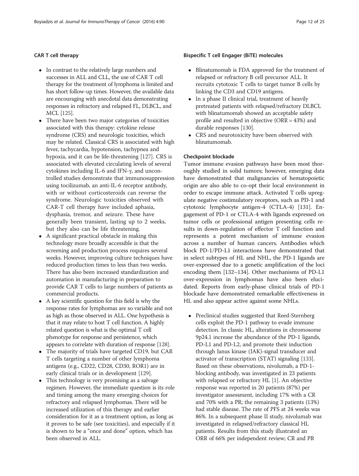## CAR T cell therapy

- In contrast to the relatively large numbers and successes in ALL and CLL, the use of CAR T cell therapy for the treatment of lymphoma is limited and has short follow-up times. However, the available data are encouraging with anecdotal data demonstrating responses in refractory and relapsed FL, DLBCL, and MCL [\[125](#page-21-0)].
- There have been two major categories of toxicities associated with this therapy: cytokine release syndrome (CRS) and neurologic toxicities, which may be related. Classical CRS is associated with high fever, tachycardia, hypotension, tachypnea and hypoxia, and it can be life-threatening [\[127](#page-22-0)]. CRS is associated with elevated circulating levels of several cytokines including IL-6 and IFN-γ, and uncontrolled studies demonstrate that immunosuppression using tocilizumab, an anti-IL-6 receptor antibody, with or without corticosteroids can reverse the syndrome. Neurologic toxicities observed with CAR-T cell therapy have included aphasia, dysphasia, tremor, and seizure. These have generally been transient, lasting up to 2 weeks, but they also can be life threatening.
- A significant practical obstacle in making this technology more broadly accessible is that the screening and production process requires several weeks. However, improving culture techniques have reduced production times to less than two weeks. There has also been increased standardization and automation in manufacturing in preparation to provide CAR T cells to large numbers of patients as commercial products.
- A key scientific question for this field is why the response rates for lymphomas are so variable and not as high as those observed in ALL. One hypothesis is that it may relate to host T cell function. A highly related question is what is the optimal T cell phenotype for response and persistence, which appears to correlate with duration of response [[128\]](#page-22-0).
- The majority of trials have targeted CD19, but CAR T cells targeting a number of other lymphoma antigens (e.g., CD22, CD28, CD30, ROR1) are in early clinical trials or in development [[129](#page-22-0)].
- This technology is very promising as a salvage regimen. However, the immediate question is its role and timing among the many emerging choices for refractory and relapsed lymphomas. There will be increased utilization of this therapy and earlier consideration for it as a treatment option, as long as it proves to be safe (see toxicities), and especially if it is shown to be a "once and done" option, which has been observed in ALL.

## Bispecific T cell Engager (BiTE) molecules

- Blinatumomab is FDA approved for the treatment of relapsed or refractory B cell precursor ALL. It recruits cytotoxic T cells to target tumor B cells by linking the CD3 and CD19 antigens.
- In a phase II clinical trial, treatment of heavily pretreated patients with relapsed/refractory DLBCL with blinatumomab showed an acceptable safety profile and resulted in objective (ORR = 43%) and durable responses [[130](#page-22-0)].
- CRS and neurotoxicity have been observed with blinatumomab.

## Checkpoint blockade

Tumor immune evasion pathways have been most thoroughly studied in solid tumors; however, emerging data have demonstrated that malignancies of hematopoietic origin are also able to co-opt their local environment in order to escape immune attack. Activated T cells upregulate negative costimulatory receptors, such as PD-1 and cytotoxic lymphocyte antigen-4 (CTLA-4) [[131](#page-22-0)]. Engagement of PD-1 or CTLA-4 with ligands expressed on tumor cells or professional antigen presenting cells results in down-regulation of effector T cell function and represents a potent mechanism of immune evasion across a number of human cancers. Antibodies which block PD-1/PD-L1 interactions have demonstrated that in select subtypes of HL and NHL, the PD-1 ligands are over-expressed due to a genetic amplification of the loci encoding them [[132](#page-22-0)–[134](#page-22-0)]. Other mechanisms of PD-L1 over-expression in lymphomas have also been elucidated. Reports from early-phase clinical trials of PD-1 blockade have demonstrated remarkable effectiveness in HL and also appear active against some NHLs.

• Preclinical studies suggested that Reed-Sternberg cells exploit the PD-1 pathway to evade immune detection. In classic HL, alterations in chromosome 9p24.1 increase the abundance of the PD-1 ligands, PD-L1 and PD-L2, and promote their induction through Janus kinase (JAK)-signal transducer and activator of transcription (STAT) signaling [[133](#page-22-0)]. Based on these observations, nivolumab, a PD-1 blocking antibody, was investigated in 23 patients with relapsed or refractory HL [\[1](#page-18-0)]. An objective response was reported in 20 patients (87%) per investigator assessment, including 17% with a CR and 70% with a PR; the remaining 3 patients (13%) had stable disease. The rate of PFS at 24 weeks was 86%. In a subsequent phase II study, nivolumab was investigated in relapsed/refractory classical HL patients. Results from this study illustrated an ORR of 66% per independent review; CR and PR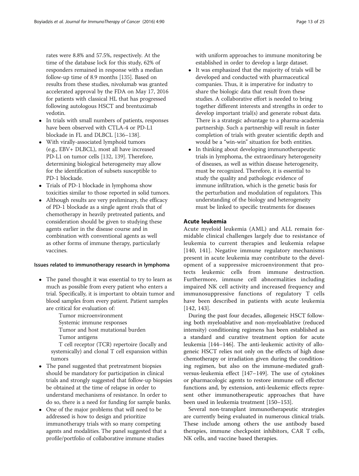rates were 8.8% and 57.5%, respectively. At the time of the database lock for this study, 62% of responders remained in response with a median follow-up time of 8.9 months [\[135\]](#page-22-0). Based on results from these studies, nivolumab was granted accelerated approval by the FDA on May 17, 2016 for patients with classical HL that has progressed following autologous HSCT and brentuximab vedotin.

- In trials with small numbers of patients, responses have been observed with CTLA-4 or PD-L1 blockade in FL and DLBCL [\[136](#page-22-0)–[138\]](#page-22-0).
- With virally-associated lymphoid tumors (e.g., EBV+ DLBCL), most all have increased PD-L1 on tumor cells [[132,](#page-22-0) [139](#page-22-0)]. Therefore, determining biological heterogeneity may allow for the identification of subsets susceptible to PD-1 blockade.
- Trials of PD-1 blockade in lymphoma show toxicities similar to those reported in solid tumors.
- Although results are very preliminary, the efficacy of PD-1 blockade as a single agent rivals that of chemotherapy in heavily pretreated patients, and consideration should be given to studying these agents earlier in the disease course and in combination with conventional agents as well as other forms of immune therapy, particularly vaccines.

#### Issues related to immunotherapy research in lymphoma

- The panel thought it was essential to try to learn as much as possible from every patient who enters a trial. Specifically, it is important to obtain tumor and blood samples from every patient. Patient samples are critical for evaluation of:
	- Tumor microenvironment Systemic immune responses Tumor and host mutational burden Tumor antigens

T cell receptor (TCR) repertoire (locally and systemically) and clonal T cell expansion within tumors

- The panel suggested that pretreatment biopsies should be mandatory for participation in clinical trials and strongly suggested that follow-up biopsies be obtained at the time of relapse in order to understand mechanisms of resistance. In order to do so, there is a need for funding for sample banks.
- One of the major problems that will need to be addressed is how to design and prioritize immunotherapy trials with so many competing agents and modalities. The panel suggested that a profile/portfolio of collaborative immune studies

with uniform approaches to immune monitoring be established in order to develop a large dataset.

- It was emphasized that the majority of trials will be developed and conducted with pharmaceutical companies. Thus, it is imperative for industry to share the biologic data that result from these studies. A collaborative effort is needed to bring together different interests and strengths in order to develop important trial(s) and generate robust data. There is a strategic advantage to a pharma-academia partnership. Such a partnership will result in faster completion of trials with greater scientific depth and would be a "win-win" situation for both entities.
- In thinking about developing immunotherapeutic trials in lymphoma, the extraordinary heterogeneity of diseases, as well as within disease heterogeneity, must be recognized. Therefore, it is essential to study the quality and pathologic evidence of immune infiltration, which is the genetic basis for the perturbation and modulation of regulators. This understanding of the biology and heterogeneity must be linked to specific treatments for diseases

## Acute leukemia

Acute myeloid leukemia (AML) and ALL remain formidable clinical challenges largely due to resistance of leukemia to current therapies and leukemia relapse [[140](#page-22-0), [141\]](#page-22-0). Negative immune regulatory mechanisms present in acute leukemia may contribute to the development of a suppressive microenvironment that protects leukemic cells from immune destruction. Furthermore, immune cell abnormalities including impaired NK cell activity and increased frequency and immunosuppressive functions of regulatory T cells have been described in patients with acute leukemia [[142](#page-22-0), [143\]](#page-22-0).

During the past four decades, allogeneic HSCT following both myeloablative and non-myeloablative (reduced intensity) conditioning regimens has been established as a standard and curative treatment option for acute leukemia [[144](#page-22-0)–[146](#page-22-0)]. The anti-leukemic activity of allogeneic HSCT relies not only on the effects of high dose chemotherapy or irradiation given during the conditioning regimen, but also on the immune-mediated graftversus-leukemia effect [[147](#page-22-0)–[149](#page-22-0)]. The use of cytokines or pharmacologic agents to restore immune cell effector functions and, by extension, anti-leukemic effects represent other immunotherapeutic approaches that have been used in leukemia treatment [\[150](#page-22-0)–[153\]](#page-22-0).

Several non-transplant immunotherapeutic strategies are currently being evaluated in numerous clinical trials. These include among others the use antibody based therapies, immune checkpoint inhibitors, CAR T cells, NK cells, and vaccine based therapies.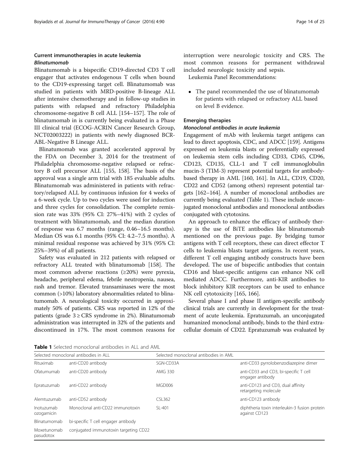## Current immunotherapies in acute leukemia Blinatumomab

Blinatumomab is a bispecific CD19-directed CD3 T cell engager that activates endogenous T cells when bound to the CD19-expressing target cell. Blinatumomab was studied in patients with MRD-positive B-lineage ALL after intensive chemotherapy and in follow-up studies in patients with relapsed and refractory Philadelphia chromosome-negative B cell ALL [[154](#page-22-0)–[157\]](#page-22-0). The role of blinatumomab in is currently being evaluated in a Phase III clinical trial (ECOG-ACRIN Cancer Research Group, NCT02003222) in patients with newly diagnosed BCR-ABL-Negative B Lineage ALL.

Blinatumomab was granted accelerated approval by the FDA on December 3, 2014 for the treatment of Philadelphia chromosome-negative relapsed or refractory B cell precursor ALL [\[155, 158](#page-22-0)]. The basis of the approval was a single arm trial with 185 evaluable adults. Blinatumomab was administered in patients with refractory/relapsed ALL by continuous infusion for 4 weeks of a 6-week cycle. Up to two cycles were used for induction and three cycles for consolidation. The complete remission rate was 33% (95% CI: 27%–41%) with 2 cycles of treatment with blinatumomab, and the median duration of response was 6.7 months (range, 0.46–16.5 months). Median OS was 6.1 months (95% CI: 4.2–7.5 months). A minimal residual response was achieved by 31% (95% CI: 25%–39%) of all patients.

Safety was evaluated in 212 patients with relapsed or refractory ALL treated with blinatumomab [\[158\]](#page-22-0). The most common adverse reactions (≥20%) were pyrexia, headache, peripheral edema, febrile neutropenia, nausea, rash and tremor. Elevated transaminases were the most common (>10%) laboratory abnormalities related to blinatumomab. A neurological toxicity occurred in approximately 50% of patients. CRS was reported in 12% of the patients (grade  $3 \geq CRS$  syndrome in 2%). Blinatumomab administration was interrupted in 32% of the patients and discontinued in 17%. The most common reasons for interruption were neurologic toxicity and CRS. The most common reasons for permanent withdrawal included neurologic toxicity and sepsis.

Leukemia Panel Recommendations:

• The panel recommended the use of blinatumomab for patients with relapsed or refractory ALL based on level B evidence.

## Emerging therapies

## Monoclonal antibodies in acute leukemia

Engagement of mAb with leukemia target antigens can lead to direct apoptosis, CDC, and ADCC [\[159\]](#page-22-0). Antigens expressed on leukemia blasts or preferentially expressed on leukemia stem cells including CD33, CD45, CD96, CD123, CD135, CLL-1 and T cell immunoglobulin mucin-3 (TIM-3) represent potential targets for antibodybased therapy in AML [[160](#page-22-0), [161](#page-22-0)]. In ALL, CD19, CD20, CD22 and CD52 (among others) represent potential targets [[162](#page-22-0)–[164](#page-23-0)]. A number of monoclonal antibodies are currently being evaluated (Table 1). These include unconjugated monoclonal antibodies and monoclonal antibodies conjugated with cytotoxins.

An approach to enhance the efficacy of antibody therapy is the use of BiTE antibodies like blinatumomab mentioned on the previous page. By bridging tumor antigens with T cell receptors, these can direct effector T cells to leukemia blasts target antigens. In recent years, different T cell engaging antibody constructs have been developed. The use of bispecific antibodies that contain CD16 and blast-specific antigens can enhance NK cell mediated ADCC. Furthermore, anti-KIR antibodies to block inhibitory KIR receptors can be used to enhance NK cell cytotoxicity [[165, 166](#page-23-0)].

Several phase I and phase II antigen-specific antibody clinical trials are currently in development for the treatment of acute leukemia. Epratuzumab, an unconjugated humanized monoclonal antibody, binds to the third extracellular domain of CD22. Epratuzumab was evaluated by

Table 1 Selected monoclonal antibodies in ALL and AML

| Selected monoclonal antibodies in ALL |                                       | Selected monoclonal antibodies in AML |                                                                |
|---------------------------------------|---------------------------------------|---------------------------------------|----------------------------------------------------------------|
| Rituximab                             | anti-CD20 antibody                    | SGN-CD33A                             | anti-CD33 pyrrolobenzodiazepine dimer                          |
| Ofatumumab                            | anti-CD20 antibody                    | AMG 330                               | anti-CD33 and CD3, bi-specific T cell<br>engager antibody      |
| Epratuzumab                           | anti-CD22 antibody                    | MGD006                                | anti-CD123 and CD3, dual affinity<br>retargeting molecule      |
| Alemtuzumab                           | anti-CD52 antibody                    | CSL362                                | anti-CD123 antibody                                            |
| Inotuzumab<br>ozogamicin              | Monoclonal anti-CD22 immunotoxin      | $SI - 401$                            | diphtheria toxin interleukin-3 fusion protein<br>against CD123 |
| Blinatumomab                          | bi-specific T cell engager antibody   |                                       |                                                                |
| Moxetunomab<br>pasudotox              | conjugated immunotoxin targeting CD22 |                                       |                                                                |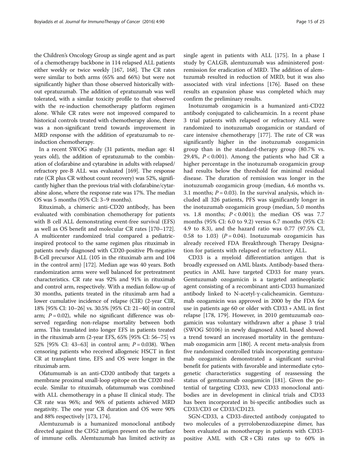the Children's Oncology Group as single agent and as part of a chemotherapy backbone in 114 relapsed ALL patients either weekly or twice weekly [[167](#page-23-0), [168](#page-23-0)]. The CR rates were similar to both arms (65% and 66%) but were not significantly higher than those observed historically without epratuzumab. The addition of epratuzumab was well tolerated, with a similar toxicity profile to that observed with the re-induction chemotherapy platform regimen alone. While CR rates were not improved compared to historical controls treated with chemotherapy alone, there was a non-significant trend towards improvement in MRD response with the addition of epratuzumab to reinduction chemotherapy.

In a recent SWOG study (31 patients, median age: 41 years old), the addition of epratuzumab to the combination of clofarabine and cytarabine in adults with relapsed/ refractory pre-B ALL was evaluated [[169](#page-23-0)]. The response rate (CR plus CR without count recovery) was 52%, significantly higher than the previous trial with clofarabine/cytarabine alone, where the response rate was 17%. The median OS was 5 months (95% CI: 3–9 months).

Rituximab, a chimeric anti-CD20 antibody, has been evaluated with combination chemotherapy for patients with B cell ALL demonstrating event-free survival (EFS) as well as OS benefit and molecular CR rates [[170](#page-23-0)–[172](#page-23-0)]. A multicenter randomized trial compared a pediatricinspired protocol to the same regimen plus rituximab in patients newly diagnosed with CD20-positive Ph-negative B-Cell precursor ALL (105 in the rituximab arm and 104 in the control arm) [\[172\]](#page-23-0). Median age was 40 years. Both randomization arms were well balanced for pretreatment characteristics. CR rate was 92% and 91% in rituximab and control arm, respectively. With a median follow-up of 30 months, patients treated in the rituximab arm had a lower cumulative incidence of relapse (CIR) (2-year CIR, 18% [95% CI: 10–26] vs. 30.5% [95% CI: 21–40] in control arm;  $P = 0.02$ ), while no significant difference was observed regarding non-relapse mortality between both arms. This translated into longer EFS in patients treated in the rituximab arm (2-year EFS, 65% [95% CI: 56–75] vs 52% [95% CI: 43–63] in control arm;  $P = 0.038$ ). When censoring patients who received allogeneic HSCT in first CR at transplant time, EFS and OS were longer in the rituximab arm.

Ofatumumab is an anti-CD20 antibody that targets a membrane proximal small-loop epitope on the CD20 molecule. Similar to rituximab, ofatumumab was combined with ALL chemotherapy in a phase II clinical study. The CR rate was 96%; and 96% of patients achieved MRD negativity. The one year CR duration and OS were 90% and 88% respectively [\[173, 174](#page-23-0)].

Alemtuzumab is a humanized monoclonal antibody directed against the CD52 antigen present on the surface of immune cells. Alemtuzumab has limited activity as single agent in patients with ALL [\[175\]](#page-23-0). In a phase I

study by CALGB, alemtuzumab was administered postremission for eradication of MRD. The addition of alemtuzumab resulted in reduction of MRD, but it was also associated with viral infections [[176](#page-23-0)]. Based on these results an expansion phase was completed which may confirm the preliminary results.

Inotuzumab ozogamicin is a humanized anti-CD22 antibody conjugated to calicheamicin. In a recent phase 3 trial patients with relapsed or refractory ALL were randomized to inotuzumab ozogamicin or standard of care intensive chemotherapy [\[177\]](#page-23-0). The rate of CR was significantly higher in the inotuzumab ozogamicin group than in the standard-therapy group (80.7% vs. 29.4%,  $P < 0.001$ ). Among the patients who had CR a higher percentage in the inotuzumab ozogamicin group had results below the threshold for minimal residual disease. The duration of remission was longer in the inotuzumab ozogamicin group (median, 4.6 months vs. 3.1 months;  $P = 0.03$ ). In the survival analysis, which included all 326 patients, PFS was significantly longer in the inotuzumab ozogamicin group (median, 5.0 months vs. 1.8 months;  $P < 0.001$ ); the median OS was 7.7 months (95% CI: 6.0 to 9.2) versus 6.7 months (95% CI: 4.9 to 8.3), and the hazard ratio was 0.77 (97.5% CI, 0.58 to 1.03) ( $P = 0.04$ ). Inotuzumab ozogamicin has already received FDA Breakthrough Therapy Designation for patients with relapsed or refractory ALL.

CD33 is a myeloid differentiation antigen that is broadly expressed on AML blasts. Antibody-based therapeutics in AML have targeted CD33 for many years. Gemtuzumab ozogamicin is a targeted antineoplastic agent consisting of a recombinant anti-CD33 humanized antibody linked to N-acetyl-γ-calicheamicin. Gemtuzumab ozogamicin was approved in 2000 by the FDA for use in patients age 60 or older with CD33 + AML in first relapse [\[178](#page-23-0), [179](#page-23-0)]. However, in 2010 gemtuzumab ozogamicin was voluntary withdrawn after a phase 3 trial (SWOG S0106) in newly diagnosed AML based showed a trend toward an increased mortality in the gemtuzumab ozogamicin arm [\[180\]](#page-23-0). A recent meta-analysis from five randomized controlled trials incorporating gemtuzumab ozogamicin demonstrated a significant survival benefit for patients with favorable and intermediate cytogenetic characteristics suggesting of reassessing the status of gemtuzumab ozogamicin [\[181](#page-23-0)]. Given the potential of targeting CD33, new CD33 monoclonal antibodies are in development in clinical trials and CD33 has been incorporated in bi-specific antibodies such as CD33/CD3 or CD33/CD123.

SGN‑CD33, a CD33-directed antibody conjugated to two molecules of a pyrrolobenzodiazepine dimer, has been evaluated as monotherapy in patients with CD33 positive AML with CR + CRi rates up to 60% in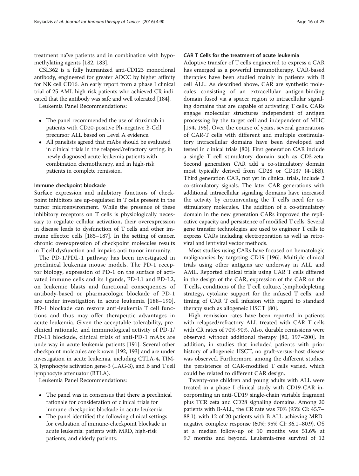treatment naïve patients and in combination with hypomethylating agents [[182, 183\]](#page-23-0).

CSL362 is a fully humanized anti-CD123 monoclonal antibody, engineered for greater ADCC by higher affinity for NK cell CD16. An early report from a phase I clinical trial of 25 AML high-risk patients who achieved CR indicated that the antibody was safe and well tolerated [[184](#page-23-0)].

Leukemia Panel Recommendations:

- The panel recommended the use of rituximab in patients with CD20-positive Ph-negative B-Cell precursor ALL based on Level A evidence.
- All panelists agreed that mAbs should be evaluated in clinical trials in the relapsed/refractory setting, in newly diagnosed acute leukemia patients with combination chemotherapy, and in high-risk patients in complete remission.

#### Immune checkpoint blockade

Surface expression and inhibitory functions of checkpoint inhibitors are up-regulated in T cells present in the tumor microenvironment. While the presence of these inhibitory receptors on T cells is physiologically necessary to regulate cellular activation, their overexpression in disease leads to dysfunction of T cells and other immune effector cells [\[185](#page-23-0)–[187\]](#page-23-0). In the setting of cancer, chronic overexpression of checkpoint molecules results in T cell dysfunction and impairs anti-tumor immunity.

The PD-1/PDL-1 pathway has been investigated in preclinical leukemia mouse models. The PD-1 receptor biology, expression of PD-1 on the surface of activated immune cells and its ligands, PD-L1 and PD-L2, on leukemic blasts and functional consequences of antibody-based or pharmacologic blockade of PD-1 are under investigation in acute leukemia [\[188](#page-23-0)–[190](#page-23-0)]. PD-1 blockade can restore anti-leukemia T cell functions and thus may offer therapeutic advantages in acute leukemia. Given the acceptable tolerability, preclinical rationale, and immunological activity of PD-1/ PD-L1 blockade, clinical trials of anti-PD-1 mAbs are underway in acute leukemia patients [[191](#page-23-0)]. Several other checkpoint molecules are known [[192](#page-23-0), [193](#page-23-0)] and are under investigation in acute leukemia, including CTLA-4, TIM-3, lymphocyte activation gene-3 (LAG-3), and B and T cell lymphocyte attenuator (BTLA).

Leukemia Panel Recommendations:

- The panel was in consensus that there is preclinical rationale for consideration of clinical trials for immune-checkpoint blockade in acute leukemia.
- The panel identified the following clinical settings for evaluation of immune-checkpoint blockade in acute leukemia: patients with MRD, high-risk patients, and elderly patients.

## CAR T Cells for the treatment of acute leukemia

Adoptive transfer of T cells engineered to express a CAR has emerged as a powerful immunotherapy. CAR-based therapies have been studied mainly in patients with B cell ALL. As described above, CAR are synthetic molecules consisting of an extracellular antigen-binding domain fused via a spacer region to intracellular signaling domains that are capable of activating T cells. CARs engage molecular structures independent of antigen processing by the target cell and independent of MHC [[194, 195](#page-23-0)]. Over the course of years, several generations of CAR-T cells with different and multiple costimulatory intracellular domains have been developed and tested in clinical trials [[80](#page-20-0)]. First generation CAR include a single T cell stimulatory domain such as CD3-zeta. Second generation CAR add a co-stimulatory domain most typically derived from CD28 or CD137 (4-1BB). Third generation CAR, not yet in clinical trials, include 2 co-stimulatory signals. The later CAR generations with additional intracellular signaling domains have increased the activity by circumventing the T cell's need for costimulatory molecules. The addition of a co-stimulatory domain in the new generation CARs improved the replicative capacity and persistence of modified T cells. Several gene transfer technologies are used to engineer T cells to express CARs including electroporation as well as retroviral and lentiviral vector methods.

Most studies using CARs have focused on hematologic malignancies by targeting CD19 [\[196](#page-23-0)]. Multiple clinical trials using other antigens are underway in ALL and AML. Reported clinical trials using CAR T cells differed in the design of the CAR, expression of the CAR on the T cells, conditions of the T cell culture, lymphodepleting strategy, cytokine support for the infused T cells, and timing of CAR T cell infusion with regard to standard therapy such as allogeneic HSCT [[80\]](#page-20-0).

High remission rates have been reported in patients with relapsed/refractory ALL treated with CAR T cells with CR rates of 70%-90%. Also, durable remissions were observed without additional therapy [\[80](#page-20-0), [197](#page-23-0)–[200\]](#page-23-0). In addition, in studies that included patients with prior history of allogeneic HSCT, no graft-versus-host disease was observed. Furthermore, among the different studies, the persistence of CAR-modified T cells varied, which could be related to different CAR design.

Twenty-one children and young adults with ALL were treated in a phase I clinical study with CD19-CAR incorporating an anti-CD19 single-chain variable fragment plus TCR zeta and CD28 signaling domains. Among 20 patients with B-ALL, the CR rate was 70% (95% CI: 45.7– 88.1), with 12 of 20 patients with B-ALL achieving MRDnegative complete response (60%; 95% CI: 36.1–80.9). OS at a median follow-up of 10 months was 51.6% at 9.7 months and beyond. Leukemia-free survival of 12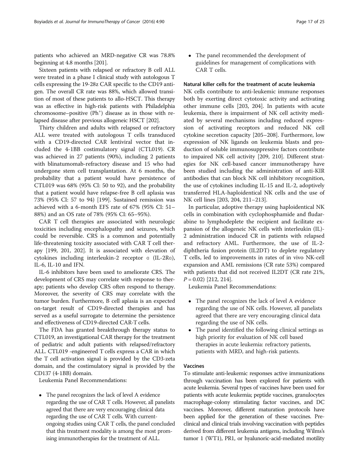patients who achieved an MRD-negative CR was 78.8% beginning at 4.8 months [\[201\]](#page-23-0).

Sixteen patients with relapsed or refractory B cell ALL were treated in a phase I clinical study with autologous T cells expressing the 19-28z CAR specific to the CD19 antigen. The overall CR rate was 88%, which allowed transition of most of these patients to allo-HSCT. This therapy was as effective in high-risk patients with Philadelphia chromosome-positive (Ph<sup>+</sup>) disease as in those with relapsed disease after previous allogeneic HSCT [[202](#page-24-0)].

Thirty children and adults with relapsed or refractory ALL were treated with autologous T cells transduced with a CD19-directed CAR lentiviral vector that included the 4-1BB costimulatory signal (CTL019). CR was achieved in 27 patients (90%), including 2 patients with blinatumomab-refractory disease and 15 who had undergone stem cell transplantation. At 6 months, the probability that a patient would have persistence of CTL019 was 68% (95% CI: 50 to 92), and the probability that a patient would have relapse-free B cell aplasia was 73% (95% CI: 57 to 94) [\[199\]](#page-23-0). Sustained remission was achieved with a 6-month EFS rate of 67% (95% CI: 51– 88%) and an OS rate of 78% (95% CI: 65–95%).

CAR T cell therapies are associated with neurologic toxicities including encephalopathy and seizures, which could be reversible. CRS is a common and potentially life-threatening toxicity associated with CAR T cell therapy [[199, 201,](#page-23-0) [202\]](#page-24-0). It is associated with elevation of cytokines including interleukin-2 receptor ɑ (IL-2Rɑ), IL-6, IL-10 and IFN.

IL-6 inhibitors have been used to ameliorate CRS. The development of CRS may correlate with response to therapy; patients who develop CRS often respond to therapy. Moreover, the severity of CRS may correlate with the tumor burden. Furthermore, B cell aplasia is an expected on-target result of CD19-directed therapies and has served as a useful surrogate to determine the persistence and effectiveness of CD19-directed CAR-T cells.

The FDA has granted breakthrough therapy status to CTL019, an investigational CAR therapy for the treatment of pediatric and adult patients with relapsed/refractory ALL. CTL019 -engineered T cells express a CAR in which the T cell activation signal is provided by the CD3-zeta domain, and the costimulatory signal is provided by the CD137 (4-1BB) domain.

Leukemia Panel Recommendations:

• The panel recognizes the lack of level A evidence regarding the use of CAR T cells. However, all panelists agreed that there are very encouraging clinical data regarding the use of CAR T cells. With currentongoing studies using CAR T cells, the panel concluded that this treatment modality is among the most promising immunotherapies for the treatment of ALL.

 The panel recommended the development of guidelines for management of complications with CAR T cells.

## Natural killer cells for the treatment of acute leukemia

NK cells contribute to anti-leukemic immune responses both by exerting direct cytotoxic activity and activating other immune cells [\[203](#page-24-0), [204\]](#page-24-0). In patients with acute leukemia, there is impairment of NK cell activity mediated by several mechanisms including reduced expression of activating receptors and reduced NK cell cytokine secretion capacity [\[205](#page-24-0)–[208\]](#page-24-0). Furthermore, low expression of NK ligands on leukemia blasts and production of soluble immunosuppressive factors contribute to impaired NK cell activity [[209](#page-24-0), [210\]](#page-24-0). Different strategies for NK cell-based cancer immunotherapy have been studied including the administration of anti-KIR antibodies that can block NK cell inhibitory recognition, the use of cytokines including IL-15 and IL-2, adoptively transferred HLA-haploidentical NK cells and the use of NK cell lines [\[203](#page-24-0), [204, 211](#page-24-0)–[213](#page-24-0)].

In particular, adoptive therapy using haploidentical NK cells in combination with cyclophosphamide and fludarabine to lymphodeplete the recipient and facilitate expansion of the allogeneic NK cells with interleukin (IL)- 2 administration induced CR in patients with relapsed and refractory AML. Furthermore, the use of IL-2 diphtheria fusion protein (IL2DT) to deplete regulatory T cells, led to improvements in rates of in vivo NK-cell expansion and AML remissions (CR rate 53%) compared with patients that did not received IL2DT (CR rate 21%,  $P = 0.02$ ) [[212, 214\]](#page-24-0).

Leukemia Panel Recommendations:

- The panel recognizes the lack of level A evidence regarding the use of NK cells. However, all panelists agreed that there are very encouraging clinical data regarding the use of NK cells.
- The panel identified the following clinical settings as high priority for evaluation of NK cell based therapies in acute leukemia: refractory patients, patients with MRD, and high-risk patients.

#### Vaccines

To stimulate anti-leukemic responses active immunizations through vaccination has been explored for patients with acute leukemia. Several types of vaccines have been used for patients with acute leukemia; peptide vaccines, granulocytes macrophage-colony stimulating factor vaccines, and DC vaccines. Moreover, different maturation protocols have been applied for the generation of these vaccines. Preclinical and clinical trials involving vaccination with peptides derived from different leukemia antigens, including Wilms's tumor 1 (WT1), PR1, or hyalunoric-acid-mediated motility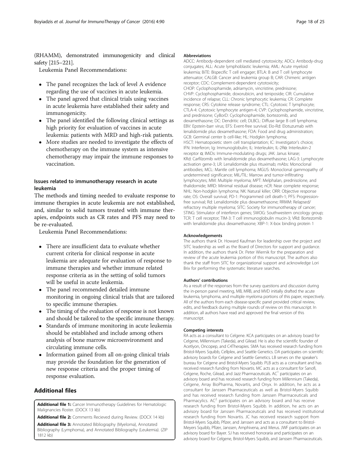<span id="page-17-0"></span>(RHAMM), demonstrated immunogenicity and clinical safety [\[215](#page-24-0)–[221\]](#page-24-0).

Leukemia Panel Recommendations:

- The panel recognizes the lack of level A evidence regarding the use of vaccines in acute leukemia.
- The panel agreed that clinical trials using vaccines in acute leukemia have established their safety and immunogenicity.
- The panel identified the following clinical settings as high priority for evaluation of vaccines in acute leukemia: patients with MRD and high-risk patients.
- More studies are needed to investigate the effects of chemotherapy on the immune system as intensive chemotherapy may impair the immune responses to vaccination.

## Issues related to immunotherapy research in acute leukemia

The methods and timing needed to evaluate response to immune therapies in acute leukemia are not established, and, similar to solid tumors treated with immune therapies, endpoints such as CR rates and PFS may need to be re-evaluated.

Leukemia Panel Recommendations:

- There are insufficient data to evaluate whether current criteria for clinical response in acute leukemia are adequate for evaluation of response to immune therapies and whether immune related response criteria as in the setting of solid tumors will be useful in acute leukemia.
- The panel recommended detailed immune monitoring in ongoing clinical trials that are tailored to specific immune therapies.
- The timing of the evaluation of response is not known and should be tailored to the specific immune therapy.
- Standards of immune monitoring in acute leukemia should be established and include among others analysis of bone marrow microenvironment and circulating immune cells.
- Information gained from all on-going clinical trials may provide the foundation for the generation of new response criteria and the proper timing of response evaluation.

## Additional files

[Additional file 1:](dx.doi.org/10.1186/s40425-016-0188-z) Cancer Immunotherapy Guidelines for Hematologic Malignancies Roster. (DOCX 13 kb)

[Additional file 2:](dx.doi.org/10.1186/s40425-016-0188-z) Comments Recieved during Review. (DOCX 14 kb)

[Additional file 3:](dx.doi.org/10.1186/s40425-016-0188-z) Annotated Bibliography (Myeloma), Annotated Bibliography (Lymphoma), and Annotated Bibliography (Leukemia). (ZIP 1812 kb)

#### Abbreviations

ADCC: Antibody-dependent cell mediated cytotoxicity; ADCs: Antibody-drug conjugates; ALL: Acute lymphoblastic leukemia; AML: Acute myeloid leukemia; BiTE: Bispecific T cell engager; BTLA: B and T cell lymphocyte attenuator; CALGB: Cancer and leukemia group B; CAR: Chimeric antigen receptor; CDC: Complement-dependent cytotoxicity; CHOP: Cyclophosphamide, adriamycin, vincristine, prednisone; CHVP: Cyclophosphamide, doxorubicin, and teniposide; CIR: Cumulative incidence of relapse; CLL: Chronic lymphocytic leukemia; CR: Complete response; CRS: Cytokine release syndrome; CTL: Cytotoxic T lymphocyte; CTLA-4: Cytotoxic lymphocyte antigen-4; CVP: Cyclophosphamide, vincristine, and prednisone; CyBorD: Cyclophosphamide, bortezomib, and dexamethasone; DC: Dendritic cell; DLBCL: Diffuse large B cell lymphoma; EBV: Epstein-barr virus; EFS: Event-free survival; Elo-Rd: Elotuzumab with lenalidomide plus dexamethasone; FDA: Food and drug administration; GCB: Germinal center b cell-like; HL: Hodgkin lymphoma; HSCT: Hematopoietic stem cell transplantation; IC: Investigator's choice; IFN: Interferon; Ig: Immunoglobulin; IL: Interleukin; IL-2Rɑ: Interleukin-2 receptor ɑ; IMiDs: Immune-modulating drugs; JAK: Janus kinase; KRd: Carfilzomib with lenalidomide plus dexamethasone; LAG-3: Lymphocyte activation gene-3; LR: Lenalidomide plus rituximab; mAbs: Monoclonal antibodies; MCL: Mantle cell lymphoma; MGUS: Monoclonal gammopathy of undetermined significance; MIL/TIL: Marrow and tumor-infiltrating lymphocytes; MM: Multiple myeloma; MPT: Melphalan, prednisolone, and thalidomide; MRD: Minimal residual disease; nCR: Near complete response; NHL: Non-hodgkin lymphoma; NK: Natural killer; ORR: Objective response rate; OS: Overall survival; PD-1: Programmed cell death-1; PFS: Progressionfree survival; Rd: Lenalidomide plus dexamethasone; RRMM: Relapsed/ refractory multiple myeloma; SITC: Society for immunotherapy of cancer; STING: Stimulator of interferon genes; SWOG: Southwestern oncology group; TCR: T cell receptor; TIM-3: T cell immunoglobulin mucin-3; VRd: Bortezomib with lenalidomide plus dexamethasone; XBP-1: X-box binding protein 1

#### Acknowledgements

The authors thank Dr. Howard Kaufman for leadership over the project and SITC leadership as well as the Board of Directors for support and guidance. In addition, the authors thank Dr. Peter Wiernik for the preparation and review of the acute leukemia portion of this manuscript. The authors also thank the staff from SITC for organizational support and acknowledge Lori Brix for performing the systematic literature searches.

#### Authors' contributions

As a result of the responses from the survey questions and discussion during the in-person panel meeting, MB, MRB, and MVD initially drafted the acute leukemia, lymphoma, and multiple myeloma portions of this paper, respectively. All of the authors from each disease-specific panel provided critical review, edits, and feedback during multiple rounds of review on this manuscript. In addition, all authors have read and approved the final version of this manuscript.

#### Competing interests

RA acts as a consultant to Celgene. KCA participates on an advisory board for Celgene, Millennium (Takeda), and Gilead. He is also the scientific founder of Acetlyon, Oncopep, and C4Therapies. SMA has received research funding from Bristol-Myers Squibb, Cellplex, and Seattle Genetics. DA participates on scientific advisory boards for Celgene and Seattle Genetics. LB serves on the speaker's bureau for Celgene and Bristol-Myers Squibb. PLB acts as a consultant and has received research funding from Novartis. MC acts as a consultant for Sanofi, Celgene, Roche, Gilead, and Jazz Pharmaceuticals. AC<sup>1</sup> participates on an advisory board and has received research funding from Millennium (Takeda), Celgene, Array BioPharma, Novartis, and Onyx. In addition, he acts as a consultant for Janssen Pharmaceuticals as well as Bristol-Myers Squibb and has received research funding from Janssen Pharmaceuticals and Pharmacylics.  $AC^2$  participates on an advisory board and has receive research funding from Bristol-Myers Squibb. In addition, he acts on an advisory board for Janssen Pharmaceuticals and has received institutional research funding from Novartis. JC has received research support from Bristol-Myers Squibb, Pfizer, and Janssen and acts as a consultant to Bristol-Meyers Squibb, Pfizer, Janssen, Amphivena, and Merus. JWF participates on an advisory board for Bayer. SJ has received honoraria and participates on an advisory board for Celgene, Bristol-Myers Squibb, and Janssen Pharmaceuticals.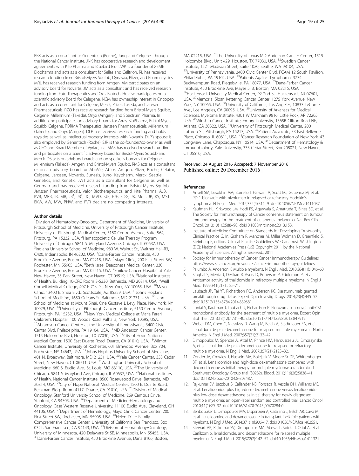<span id="page-18-0"></span>BBK acts as a consultant to Genentech (Roche), Juno, and Celgene. Through the National Cancer Institute, JNK has cooperative research and development agreements with Kite Pharma and Bluebird Bio. LWK is a founder of XEME Biopharma and acts as a consultant for Sellas and Celltrion. RL has received research funding from Bristol-Myers Squibb, Dynavax, Pfizer, and Pharmacyclics. MRL has received research funding from Amgen. AM participates on an advisory board for Novartis. JM acts as a consultant and has received research funding from Fate Therapeutics and Oxis Biotech. He also participates on a scientific advisory Board for Celegene. NCM has ownership interest in Oncopep and acts as a consultant for Celgene, Merck, Pfizer, Takeda, and Janssen Pharmaceuticals. RZO has receive research funding from Bristol-Myers Squibb, Celgene, Millennium (Takeda), Onyx (Amgen), and Spectrum Pharma. In addition, he participates on advisory boards for Array BioPharma, Bristol-Myers Squibb, Celgene, FORMA Therapeutics, Janssen Pharmaceuticals, Millennium (Takeda), and Onyx (Amgen). DLP has received research funding and holds royalties as well as intellectual property interests with Novartis. DLP's spouse is also employed by Genentech (Roche). SJR is the co-founder/co-owner as well as CEO and Board Member of Vyriad, Inc. MAS has received research funding and participates on a scientific advisory board for Bristol-Myers Squibb and Merck. DS acts on advisory boards and on speaker's bureaus for Celgene, Millennium (Takeda), Amgen, and Bristol-Myers Squibb. RMS acts as a consultant or on an advisory board for AbbVie, Abios, Amgen, Pfizer, Roche, Celator, Celgene, Janssen, Novartis, Sunesis, Juno, Kaypharm, Merck, Seattle Genetics, and Xenetic. JWT acts as a consultant for Celgene as well as Genmab and has received research funding from Bristol-Myers Squibb, Janssen Pharmaceuticals, Valor Biotherapeutics, and Kite Pharma. AJB, KVB, MRB, IB, MB, JB<sup>1</sup>, JB<sup>2</sup>, JC, MVD, SJF, EJF, SDG, JK, MdL, JP, KS, MST, EKW, AW, MW, PHW, and FVR declare no competing interests.

#### Author details

<sup>1</sup> Division of Hematology-Oncology, Department of Medicine, University of Pittsburgh School of Medicine, University of Pittsburgh Cancer Institute, University of Pittsburgh Medical Center, 5150 Centre Avenue, Suite 564, Pittsburg, PA 15232, USA. <sup>2</sup> Hematopoietic Cellular Therapy Program, University of Chicago, 5841 S. Maryland Avenue, Chicago, IL 60637, USA. <sup>3</sup>Indiana University School of Medicine, 980 W. Walnut St., Walther Hall-R3, C400, Indianapolis, IN 46202, USA. <sup>4</sup>Dana-Farber Cancer Institute, 450 Brookline Avenue, Boston, MA 02215, USA. <sup>5</sup>Mayo Clinic, 200 First Street SW, Rochester, MN 55905, USA. <sup>6</sup>Beth Israel Deaconess Medical Center, 330 Brookline Avenue, Boston, MA 02215, USA. <sup>7</sup>Smilow Cancer Hospital at Yale New Haven, 35 Park Street, New Haven, CT 06519, USA. <sup>8</sup>National Institutes of Health, Building 10-CRC Room 3-5330, Bethesda, MD 20814, USA. <sup>9</sup>Weill Cornell Medical College, 407 E 71st St, New York, NY 10065, USA. <sup>10</sup>Mayo Clinic, 13400 E. Shea Blvd., Scottsdale, AZ 85259, USA. <sup>11</sup>Johns Hopkins School of Medicine, 1650 Orleans St, Baltimore, MD 21231, USA. <sup>12</sup>Icahn School of Medicine at Mount Sinai, One Gustave L Levy Place, New York, NY 10029, USA. 13University of Pittsburgh Cancer Institute, 5150 Centre Avenue, Pittsburgh, PA 15232, USA. <sup>14</sup>New York Medical College at Maria Fareri<br>Children's Hospital, 100 Woods Road, Valhalla, New York 10595, USA. <sup>15</sup> Abramson Cancer Center at the University of Pennsylvania, 3400 Civic Center Blvd, Philadelphia, PA 19104, USA. <sup>16</sup>MD Anderson Cancer Center, 1515 Holcombe Blvd, Houston, TX 77030, USA. 17City of Hope National Medical Center, 1500 East Duarte Road, Duarte, CA 91010, USA. 18Wilmot Cancer Institute, University of Rochester, 601 Elmwood Avenue, Box 704, Rochester, NY 14642, USA. <sup>19</sup>Johns Hopkins University School of Medicine, 401 N. Broadway, Baltimore, MD 21231, USA. 20Yale Cancer Center, 333 Cedar Street, New Haven, CT 06511, USA. <sup>21</sup>Washington University School of Medicine, 660 S. Euclid Ave., St. Louis, MO 63110, USA. 22The University of Chicago, 5841 S. Maryland Ave, Chicago, IL 60637, USA. 23National Institutes of Health, National Cancer Institute, 8500 Roseweood Drive, Bethesda, MD 20814, USA. 24City of Hope National Medical Center, 1500 E. Duarte Road, Beckman Bldg., Room 4117, Duarte, CA 91010, USA.<sup>25</sup>Division of Medical Oncology, Stanford University School of Medicine, 269 Campus Drive, Stanford, CA 94305, USA. <sup>26</sup>Department of Medicine-Hematology and Oncology, Case Western Reserve University, 11100 Euclid Ave., Cleveland, OH 44106, USA. <sup>27</sup> Department of Hematology, Mayo Clinic Cancer Center, 200 First Street SW, Rochester, MN 55905, USA. <sup>28</sup>Helen Diller Family Comprehensive Cancer Center, University of California San Francisco, Box 0324, San Francisco, CA 94143, USA. <sup>29</sup>Division of Hematology/Oncology, University of Minnesota, 420 Delaware St SE, Minneapolis, MN 55455, USA. <sup>30</sup>Dana-Farber Cancer Institute, 450 Brookline Avenue, Dana B106, Boston,

MA 02215, USA. <sup>31</sup>The University of Texas MD Anderson Cancer Center, 1515 Holcombe Blvd., Unit 429, Houston, TX 77030, USA. 32Swedish Cancer Institute, 1221 Madison Street, Suite 1020, Seattle, WA 98104, USA. 33University of Pennsylvania, 3400 Civic Center Blvd, PCAM 12 South Pavilion, Philadelphia, PA 19104, USA. 34Patients Against Lymphoma, 3774 Buckwampum Road, Riegelsville, PA 18077, USA. <sup>35</sup>Dana-Farber Cancer Institute, 450 Brookline Ave, Mayer 513, Boston, MA 02215, USA. <sup>36</sup>Hackensack University Medical Center, 92 2nd St., Hackensack, NJ 07601, USA. 37Memorial Sloan Kettering Cancer Center, 1275 York Avenue, New York, NY 10065, USA. <sup>38</sup>University of California, Los Angeles, 10833 LeConte Ave., Los Angeles, CA 90095, USA. 39University of Arkansas for Medical Sciences, Myeloma Institute, 4301 W Markham #816, Little Rock, AR 72205, USA. 40Winship Cancer Institute, Emory University, 1365B Clifton Road NE, Atlanta, GA 30322, USA. 41University of Pittsburgh Medical Center, 200 Lothrop St., Pittsburgh, PA 15213, USA. <sup>42</sup>Patient Advocate, 33 East Bellevue Place, Chicago, IL 60611, USA. <sup>43</sup>Cancer Research Foundation of New York, 43 Longview Lane, Chappaqua, NY 10514, USA. <sup>44</sup>Department of Hematology & Immunobiology, Yale University, 333 Cedar Street, Box 208021, New Haven, CT 06510, USA.

#### Received: 24 August 2016 Accepted: 7 November 2016 Published online: 20 December 2016

#### References

- 1. Ansell SM, Lesokhin AM, Borrello I, Halwani A, Scott EC, Gutierrez M, et al. PD-1 blockade with nivolumab in relapsed or refractory Hodgkin's lymphoma. N Engl J Med. 2015;372(4):311–9. doi:[10.1056/NEJMoa1411087.](http://dx.doi.org/10.1056/NEJMoa1411087)
- Kaufman HL, Kirkwood JM, Hodi FS, Agarwala S, Amatruda T, Bines SD, et al. The Society for Immunotherapy of Cancer consensus statement on tumour immunotherapy for the treatment of cutaneous melanoma. Nat Rev Clin Oncol. 2013;10(10):588–98. doi:[10.1038/nrclinonc.2013.153](http://dx.doi.org/10.1038/nrclinonc.2013.153).
- 3. Institute of Medicine Committee on Standards for Developing Trustworthy Clinical Practice G. In: Graham R, Mancher M, Miller Wolman D, Greenfield S, Steinberg E, editors. Clinical Practice Guidelines We Can Trust. Washington (DC): National Academies Press (US) Copyright 2011 by the National Academy of Sciences. All rights reserved.; 2011
- Society for Immunotherapy of Cancer Cancer Immunotherapy Guidelines. <https://www.sitcancer.org/resources/cancer-immunotherapy-guidelines>.
- 5. Palumbo A, Anderson K. Multiple myeloma. N Engl J Med. 2010;364(11):1046–60.
- 6. Singhal S, Mehta J, Desikan R, Ayers D, Roberson P, Eddlemon P, et al. Antitumor activity of thalidomide in refractory multiple myeloma. N Engl J Med. 1999;341(21):1565–71.
- 7. Laubach JP, Tai YT, Richardson PG, Anderson KC. Daratumumab granted breakthrough drug status. Expert Opin Investig Drugs. 2014;23(4):445–52. doi[:10.1517/13543784.2014.889681.](http://dx.doi.org/10.1517/13543784.2014.889681)
- Lonial S, Kaufman J, Laubach J, Richardson P. Elotuzumab: a novel anti-CS1 monoclonal antibody for the treatment of multiple myeloma. Expert Opin Biol Ther. 2013;13(12):1731–40. doi[:10.1517/14712598.2013.847919.](http://dx.doi.org/10.1517/14712598.2013.847919)
- 9. Weber DM, Chen C, Niesvizky R, Wang M, Belch A, Stadtmauer EA, et al. Lenalidomide plus dexamethasone for relapsed multiple myeloma in North America. N Engl J Med. 2007;357(21):2133–42.
- 10. Dimopoulos M, Spencer A, Attal M, Prince HM, Harousseau JL, Dmoszynska A, et al. Lenalidomide plus dexamethasone for relapsed or refractory multiple myeloma. N Engl J Med. 2007;357(21):2123–32.
- 11. Zonder JA, Crowley J, Hussein MA, Bolejack V, Moore Sr DF, Whittenberger BF, et al. Lenalidomide and high-dose dexamethasone compared with dexamethasone as initial therapy for multiple myeloma: a randomized Southwest Oncology Group trial (S0232). Blood. 2010;116(26):5838–41. doi[:10.1182/blood-2010-08-303487](http://dx.doi.org/10.1182/blood-2010-08-303487).
- 12. Rajkumar SV, Jacobus S, Callander NS, Fonseca R, Vesole DH, Williams ME, et al. Lenalidomide plus high-dose dexamethasone versus lenalidomide plus low-dose dexamethasone as initial therapy for newly diagnosed multiple myeloma: an open-label randomised controlled trial. Lancet Oncol. 2010;11(1):29–37. doi:[10.1016/S1470-2045\(09\)70284-0](http://dx.doi.org/10.1016/S1470-2045(09)70284-0).
- 13. Benboubker L, Dimopoulos MA, Dispenzieri A, Catalano J, Belch AR, Cavo M, et al. Lenalidomide and dexamethasone in transplant-ineligible patients with myeloma. N Engl J Med. 2014;371(10):906–17. doi[:10.1056/NEJMoa1402551](http://dx.doi.org/10.1056/NEJMoa1402551).
- 14. Stewart AK, Rajkumar SV, Dimopoulos MA, Masszi T, Spicka I, Oriol A, et al. Carfilzomib, lenalidomide, and dexamethasone for relapsed multiple myeloma. N Engl J Med. 2015;372(2):142–52. doi[:10.1056/NEJMoa1411321.](http://dx.doi.org/10.1056/NEJMoa1411321)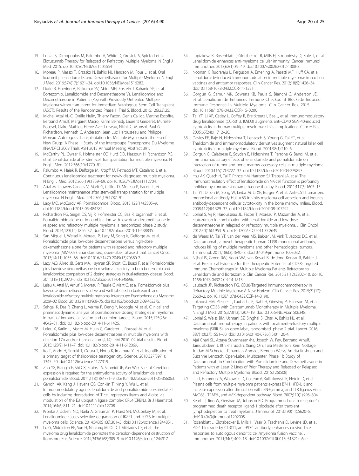- <span id="page-19-0"></span>15. Lonial S, Dimopoulos M, Palumbo A, White D, Grosicki S, Spicka I et al. Elotuzumab Therapy for Relapsed or Refractory Multiple Myeloma. N Engl J Med. 2015. doi[:10.1056/NEJMoa1505654](http://dx.doi.org/10.1056/NEJMoa1505654)
- 16. Moreau P, Masszi T, Grzasko N, Bahlis NJ, Hansson M, Pour L, et al. Oral Ixazomib, Lenalidomide, and Dexamethasone for Multiple Myeloma. N Engl J Med. 2016;374(17):1621–34. doi:[10.1056/NEJMoa1516282.](http://dx.doi.org/10.1056/NEJMoa1516282)
- 17. Durie B, Hoering A, Rajkumar SV, Abidi MH, Epstein J, Kahanic SP, et al. Bortezomib, Lenalidomide and Dexamethasone Vs. Lenalidomide and Dexamethasone in Patients (Pts) with Previously Untreated Multiple Myeloma without an Intent for Immediate Autologous Stem Cell Transplant (ASCT): Results of the Randomized Phase III Trial S. Blood. 2015;126(23):25.
- 18. Michel Attal VL-C, Cyrille Hulin, Thierry Facon, Denis Caillot, Martine Escoffre, Bertrand Arnulf, Margaret Macro, Karim Belhadj, Laurent Garderet, Murielle Roussel, Claire Mathiot, Herve Avet-Loiseau, Nikhil C. Munshi, Paul G. Richardson, Kenneth C. Anderson, Jean Luc Harousseau and Philippe Moreau. Autologous Transplantation for Multiple Myeloma in the Era of New Drugs: A Phase III Study of the Intergroupe Francophone Du Myelome (IFM/DFCI 2009 Trial). ASH 2015 Annual Meeting Abstract 391.
- 19. McCarthy PL, Owzar K, Hofmeister CC, Hurd DD, Hassoun H, Richardson PG, et al. Lenalidomide after stem-cell transplantation for multiple myeloma. N Engl J Med. 2012;366(19):1770–81.
- 20. Palumbo A, Hajek R, Delforge M, Kropff M, Petrucci MT, Catalano J, et al. Continuous lenalidomide treatment for newly diagnosed multiple myeloma. N Engl J Med. 2012;366(19):1759–69. doi[:10.1056/NEJMoa1112704.](http://dx.doi.org/10.1056/NEJMoa1112704)
- 21. Attal M, Lauwers-Cances V, Marit G, Caillot D, Moreau P, Facon T, et al. Lenalidomide maintenance after stem-cell transplantation for multiple myeloma. N Engl J Med. 2012;366(19):1782–91.
- 22. Lacy MQ, McCurdy AR. Pomalidomide. Blood. 2013;122(14):2305–9. doi[:10.1182/blood-2013-05-484782](http://dx.doi.org/10.1182/blood-2013-05-484782).
- 23. Richardson PG, Siegel DS, Vij R, Hofmeister CC, Baz R, Jagannath S, et al. Pomalidomide alone or in combination with low-dose dexamethasone in relapsed and refractory multiple myeloma: a randomized phase 2 study. Blood. 2014;123(12):1826–32. doi:[10.1182/blood-2013-11-538835.](http://dx.doi.org/10.1182/blood-2013-11-538835)
- 24. San Miguel J, Weisel K, Moreau P, Lacy M, Song K, Delforge M, et al. Pomalidomide plus low-dose dexamethasone versus high-dose dexamethasone alone for patients with relapsed and refractory multiple myeloma (MM-003): a randomised, open-label, phase 3 trial. Lancet Oncol. 2013;14(11):1055–66. doi:[10.1016/S1470-2045\(13\)70380-2.](http://dx.doi.org/10.1016/S1470-2045(13)70380-2)
- 25. Lacy MQ, Allred JB, Gertz MA, Hayman SR, Short KD, Buadi F, et al. Pomalidomide plus low-dose dexamethasone in myeloma refractory to both bortezomib and lenalidomide: comparison of 2 dosing strategies in dual-refractory disease. Blood. 2011;118(11):2970–5. doi[:10.1182/blood-2011-04-348896.](http://dx.doi.org/10.1182/blood-2011-04-348896)
- 26. Leleu X, Attal M, Arnulf B, Moreau P, Traulle C, Marit G, et al. Pomalidomide plus low-dose dexamethasone is active and well tolerated in bortezomib and lenalidomide-refractory multiple myeloma: Intergroupe Francophone du Myelome 2009–02. Blood. 2013;121(11):1968–75. doi[:10.1182/blood-2012-09-452375.](http://dx.doi.org/10.1182/blood-2012-09-452375)
- 27. Sehgal K, Das R, Zhang L, Verma R, Deng Y, Kocoglu M, et al. Clinical and pharmacodynamic analysis of pomalidomide dosing strategies in myeloma: impact of immune activation and cereblon targets. Blood. 2015;125(26): 4042–51. doi[:10.1182/blood-2014-11-611426](http://dx.doi.org/10.1182/blood-2014-11-611426).
- 28. Leleu X, Karlin L, Macro M, Hulin C, Garderet L, Roussel M, et al. Pomalidomide plus low-dose dexamethasone in multiple myeloma with deletion 17p and/or translocation (4;14): IFM 2010–02 trial results. Blood. 2015;125(9):1411–7. doi[:10.1182/blood-2014-11-612069](http://dx.doi.org/10.1182/blood-2014-11-612069).
- 29. Ito T, Ando H, Suzuki T, Ogura T, Hotta K, Imamura Y, et al. Identification of a primary target of thalidomide teratogenicity. Science. 2010;327(5971): 1345–50. doi[:10.1126/science.1177319](http://dx.doi.org/10.1126/science.1177319).
- 30. Zhu YX, Braggio E, Shi CX, Bruins LA, Schmidt JE, Van Wier S, et al. Cereblon expression is required for the antimyeloma activity of lenalidomide and pomalidomide. Blood. 2011;118(18):4771–9. doi[:10.1182/blood-2011-05-356063.](http://dx.doi.org/10.1182/blood-2011-05-356063)
- 31. Gandhi AK, Kang J, Havens CG, Conklin T, Ning Y, Wu L, et al. Immunomodulatory agents lenalidomide and pomalidomide co-stimulate T cells by inducing degradation of T cell repressors Ikaros and Aiolos via modulation of the E3 ubiquitin ligase complex CRL4(CRBN.). Br J Haematol. 2014;164(6):811–21. doi[:10.1111/bjh.12708.](http://dx.doi.org/10.1111/bjh.12708)
- 32. Kronke J, Udeshi ND, Narla A, Grauman P, Hurst SN, McConkey M, et al. Lenalidomide causes selective degradation of IKZF1 and IKZF3 in multiple myeloma cells. Science. 2014;343(6168):301–5. doi[:10.1126/science.1244851](http://dx.doi.org/10.1126/science.1244851).
- 33. Lu G, Middleton RE, Sun H, Naniong M, Ott CJ, Mitsiades CS, et al. The myeloma drug lenalidomide promotes the cereblon-dependent destruction of Ikaros proteins. Science. 2014;343(6168):305–9. doi:[10.1126/science.1244917.](http://dx.doi.org/10.1126/science.1244917)
- 34. Luptakova K, Rosenblatt J, Glotzbecker B, Mills H, Stroopinsky D, Kufe T, et al. Lenalidomide enhances anti-myeloma cellular immunity. Cancer Immunol Immunother. 2013;62(1):39–49. doi:[10.1007/s00262-012-1308-3.](http://dx.doi.org/10.1007/s00262-012-1308-3)
- 35. Noonan K, Rudraraju L, Ferguson A, Emerling A, Pasetti MF, Huff CA, et al. Lenalidomide-induced immunomodulation in multiple myeloma: impact on vaccines and antitumor responses. Clin Cancer Res. 2012;18(5):1426–34. doi[:10.1158/1078-0432.CCR-11-1221.](http://dx.doi.org/10.1158/1078-0432.CCR-11-1221)
- 36. Gorgun G, Samur MK, Cowens KB, Paula S, Bianchi G, Anderson JE, et al. Lenalidomide Enhances Immune Checkpoint Blockade Induced Immune Response in Multiple Myeloma. Clin Cancer Res. 2015. doi:[10.1158/1078-0432.CCR-15-0200](http://dx.doi.org/10.1158/1078-0432.CCR-15-0200)
- 37. Tai YT, Li XF, Catley L, Coffey R, Breitkreutz I, Bae J, et al. Immunomodulatory drug lenalidomide (CC-5013, IMiD3) augments anti-CD40 SGN-40-induced cytotoxicity in human multiple myeloma: clinical implications. Cancer Res. 2005;65(24):11712–20.
- 38. Davies FE, Raje N, Hideshima T, Lentzsch S, Young G, Tai YT, et al. Thalidomide and immunomodulatory derivatives augment natural killer cell cytotoxicity in multiple myeloma. Blood. 2001;98(1):210–6.
- 39. Gorgun G, Calabrese E, Soydan E, Hideshima T, Perrone G, Bandi M, et al. Immunomodulatory effects of lenalidomide and pomalidomide on interaction of tumor and bone marrow accessory cells in multiple myeloma. Blood. 2010;116(17):3227–37. doi:[10.1182/blood-2010-04-279893](http://dx.doi.org/10.1182/blood-2010-04-279893).
- 40. Hsu AK, Quach H, Tai T, Prince HM, Harrison SJ, Trapani JA, et al. The immunostimulatory effect of lenalidomide on NK-cell function is profoundly inhibited by concurrent dexamethasone therapy. Blood. 2011;117(5):1605–13.
- 41. Tai YT, Dillon M, Song W, Leiba M, Li XF, Burger P, et al. Anti-CS1 humanized monoclonal antibody HuLuc63 inhibits myeloma cell adhesion and induces antibody-dependent cellular cytotoxicity in the bone marrow milieu. Blood. 2008;112(4):1329–37. doi:[10.1182/blood-2007-08-107292.](http://dx.doi.org/10.1182/blood-2007-08-107292)
- 42. Lonial S, Vij R, Harousseau JL, Facon T, Moreau P, Mazumder A, et al. Elotuzumab in combination with lenalidomide and low-dose dexamethasone in relapsed or refractory multiple myeloma. J Clin Oncol. 2012;30(16):1953–9. doi[:10.1200/JCO.2011.37.2649](http://dx.doi.org/10.1200/JCO.2011.37.2649).
- 43. de Weers M, Tai YT, van der Veer MS, Bakker JM, Vink T, Jacobs DC, et al. Daratumumab, a novel therapeutic human CD38 monoclonal antibody, induces killing of multiple myeloma and other hematological tumors. J Immunol. 2011;186(3):1840–8. doi[:10.4049/jimmunol.1003032.](http://dx.doi.org/10.4049/jimmunol.1003032)
- 44. Nijhof IS, Groen RW, Noort WA, van Kessel B, de Jong-Korlaar R, Bakker J, et al. Preclinical Evidence for the Therapeutic Potential of CD38-Targeted Immuno-Chemotherapy in Multiple Myeloma Patients Refractory to Lenalidomide and Bortezomib. Clin Cancer Res. 2015;21(12):2802–10. doi[:10.](http://dx.doi.org/10.1158/1078-0432.CCR-14-1813) [1158/1078-0432.CCR-14-1813.](http://dx.doi.org/10.1158/1078-0432.CCR-14-1813)
- 45. Laubach JP, Richardson PG. CD38-Targeted Immunochemotherapy in Refractory Multiple Myeloma: A New Horizon. Clin Cancer Res. 2015;21(12): 2660–2. doi:[10.1158/1078-0432.CCR-14-3190.](http://dx.doi.org/10.1158/1078-0432.CCR-14-3190)
- 46. Lokhorst HM, Plesner T, Laubach JP, Nahi H, Gimsing P, Hansson M, et al. Targeting CD38 with Daratumumab Monotherapy in Multiple Myeloma. N Engl J Med. 2015;373(13):1207–19. doi[:10.1056/NEJMoa1506348.](http://dx.doi.org/10.1056/NEJMoa1506348)
- 47. Lonial S, Weiss BM, Usmani SZ, Singhal S, Chari A, Bahlis NJ, et al. Daratumumab monotherapy in patients with treatment-refractory multiple myeloma (SIRIUS): an open-label, randomised, phase 2 trial. Lancet. 2016; 387(10027):1551–60. doi:[10.1016/s0140-6736\(15\)01120-4.](http://dx.doi.org/10.1016/s0140-6736(15)01120-4)
- 48. Ajai Chari SL, Attaya Suvannasankha, Joseph W. Fay, Bertrand Arnulf, Jainulabdeen J. Ifthikharuddin, Xiang Qin, Tara Masterson, Kerri Nottage, Jordan M Schecter, Tahamtan Ahmadi, Brendan Weiss, Amrita Krishnan and Suzanne Lentzsch. Open-Label, Multicenter, Phase 1b Study of Daratumumab in Combination with Pomalidomide and Dexamethasone in Patients with at Least 2 Lines of Prior Therapy and Relapsed or Relapsed and Refractory Multiple Myeloma. Blood. 2015;126(508)
- 49. Liu J, Hamrouni A, Wolowiec D, Coiteux V, Kuliczkowski K, Hetuin D, et al. Plasma cells from multiple myeloma patients express B7-H1 (PD-L1) and increase expression after stimulation with IFN-{gamma} and TLR ligands via a MyD88-, TRAF6-, and MEK-dependent pathway. Blood. 2007;110(1):296–304.
- 50. Kearl TJ, Jing W, Gershan JA, Johnson BD. Programmed death receptor-1/ programmed death receptor ligand-1 blockade after transient lymphodepletion to treat myeloma. J Immunol. 2013;190(11):5620–8. doi[:10.4049/jimmunol.1202005.](http://dx.doi.org/10.4049/jimmunol.1202005)
- 51. Rosenblatt J, Glotzbecker B, Mills H, Vasir B, Tzachanis D, Levine JD, et al. PD-1 blockade by CT-011, anti-PD-1 antibody, enhances ex vivo T-cell responses to autologous dendritic cell/myeloma fusion vaccine. J Immunother. 2011;34(5):409–18. doi[:10.1097/CJI.0b013e31821ca6ce.](http://dx.doi.org/10.1097/CJI.0b013e31821ca6ce)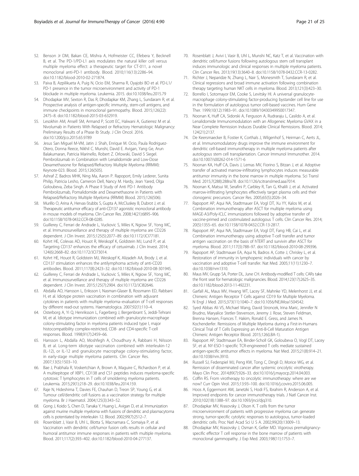- <span id="page-20-0"></span>52. Benson Jr DM, Bakan CE, Mishra A, Hofmeister CC, Efebera Y, Becknell B, et al. The PD-1/PD-L1 axis modulates the natural killer cell versus multiple myeloma effect: a therapeutic target for CT-011, a novel monoclonal anti-PD-1 antibody. Blood. 2010;116(13):2286–94. doi[:10.1182/blood-2010-02-271874.](http://dx.doi.org/10.1182/blood-2010-02-271874)
- 53. Paiva B, Azpilikueta A, Puig N, Ocio EM, Sharma R, Oyajobi BO et al. PD-L1/ PD-1 presence in the tumor microenvironment and activity of PD-1 blockade in multiple myeloma. Leukemia. 2015. doi[:10.1038/leu.2015.79](http://dx.doi.org/10.1038/leu.2015.79)
- 54. Dhodapkar MV, Sexton R, Das R, Dhodapkar KM, Zhang L, Sundaram R, et al. Prospective analysis of antigen-specific immunity, stem-cell antigens, and immune checkpoints in monoclonal gammopathy. Blood. 2015;126(22): 2475–8. doi:[10.1182/blood-2015-03-632919.](http://dx.doi.org/10.1182/blood-2015-03-632919)
- 55. Lesokhin AM, Ansell SM, Armand P, Scott EC, Halwani A, Gutierrez M et al. Nivolumab in Patients With Relapsed or Refractory Hematologic Malignancy: Preliminary Results of a Phase Ib Study. J Clin Oncol. 2016. doi[:10.1200/jco.2015.65.9789](http://dx.doi.org/10.1200/jco.2015.65.9789)
- 56. Jesus San Miguel M-VM, Jatin J. Shah, Enrique M. Ocio, Paula Rodriguez-Otero, Donna Reece, Nikhil C. Munshi, David E. Avigan, Yang Ge, Arun Balakumaran, Patricia Marinello, Robert Z. Orlowski, David S Siegel. Pembrolizumab in Combination with Lenalidomide and Low-Dose Dexamethasone for Relapsed/Refractory Multiple Myeloma (RRMM): Keynote-023. Blood. 2015;126(505).
- 57. Ashraf Z. Badros MHK, Ning Ma, Aaron P. Rapoport, Emily Lederer, Sunita Philip, Patricia Lesho, Cameron Dell, Nancy M. Hardy, Jean Yared, Olga Goloubeva, Zeba Singh. A Phase II Study of Anti PD-1 Antibody Pembrolizumab, Pomalidomide and Dexamethasone in Patients with Relapsed/Refractory Multiple Myeloma (RRMM) Blood. 2015;126(506).
- 58. Murillo O, Arina A, Hervas-Stubbs S, Gupta A, McCluskey B, Dubrot J, et al. Therapeutic antitumor efficacy of anti-CD137 agonistic monoclonal antibody in mouse models of myeloma. Clin Cancer Res. 2008;14(21):6895–906. doi:[10.1158/1078-0432.CCR-08-0285.](http://dx.doi.org/10.1158/1078-0432.CCR-08-0285)
- 59. Guillerey C, Ferrari de Andrade L, Vuckovic S, Miles K, Ngiow SF, Yong MC, et al. Immunosurveillance and therapy of multiple myeloma are CD226 dependent. J Clin Invest. 2015;125(5):2077–89. doi[:10.1172/JCI77181](http://dx.doi.org/10.1172/JCI77181).
- 60. Kohrt HE, Colevas AD, Houot R, Weiskopf K, Goldstein MJ, Lund P, et al. Targeting CD137 enhances the efficacy of cetuximab. J Clin Invest. 2014; 124(6):2668–82. doi:[10.1172/JCI73014.](http://dx.doi.org/10.1172/JCI73014)
- 61. Kohrt HE, Houot R, Goldstein MJ, Weiskopf K, Alizadeh AA, Brody J, et al. CD137 stimulation enhances the antilymphoma activity of anti-CD20 antibodies. Blood. 2011;117(8):2423–32. doi[:10.1182/blood-2010-08-301945.](http://dx.doi.org/10.1182/blood-2010-08-301945)
- 62. Guillerey C, Ferrari de Andrade L, Vuckovic S, Miles K, Ngiow SF, Yong MC, et al. Immunosurveillance and therapy of multiple myeloma are CD226 dependent. J Clin Invest. 2015;125(7):2904. doi:[10.1172/JCI82646.](http://dx.doi.org/10.1172/JCI82646)
- 63. Abdalla AO, Hansson L, Eriksson I, Nasman-Glaser B, Rossmann ED, Rabbani H, et al. Idiotype protein vaccination in combination with adjuvant cytokines in patients with multiple myeloma–evaluation of T-cell responses by different read-out systems. Haematologica. 2007;92(1):110–4.
- 64. Osterborg A, Yi Q, Henriksson L, Fagerberg J, Bergenbrant S, Jeddi-Tehrani M, et al. Idiotype immunization combined with granulocyte-macrophage colony-stimulating factor in myeloma patients induced type I, major histocompatibility complex-restricted, CD8- and CD4-specific T-cell responses. Blood. 1998;91(7):2459–66.
- 65. Hansson L, Abdalla AO, Moshfegh A, Choudhury A, Rabbani H, Nilsson B, et al. Long-term idiotype vaccination combined with interleukin-12 (IL-12), or IL-12 and granulocyte macrophage colony-stimulating factor, in early-stage multiple myeloma patients. Clin Cancer Res. 2007;13(5):1503–10.
- 66. Bae J, Prabhala R, Voskertchian A, Brown A, Maguire C, Richardson P, et al. A multiepitope of XBP1, CD138 and CS1 peptides induces myeloma-specific cytotoxic T lymphocytes in T cells of smoldering myeloma patients. Leukemia. 2015;29(1):218–29. doi[:10.1038/leu.2014.159](http://dx.doi.org/10.1038/leu.2014.159).
- 67. Raje N, Hideshima T, Davies FE, Chauhan D, Treon SP, Young G, et al. Tumour cell/dendritic cell fusions as a vaccination strategy for multiple myeloma. Br J Haematol. 2004;125(3):343–52.
- 68. Gong J, Koido S, Chen D, Tanaka Y, Huang L, Avigan D, et al. Immunization against murine multiple myeloma with fusions of dendritic and plasmacytoma cells is potentiated by interleukin 12. Blood. 2002;99(7):2512–7.
- 69. Rosenblatt J, Vasir B, Uhl L, Blotta S, Macnamara C, Somaiya P, et al. Vaccination with dendritic cell/tumor fusion cells results in cellular and humoral antitumor immune responses in patients with multiple myeloma. Blood. 2011;117(2):393–402. doi:[10.1182/blood-2010-04-277137.](http://dx.doi.org/10.1182/blood-2010-04-277137)
- 70. Rosenblatt J, Avivi I, Vasir B, Uhl L, Munshi NC, Katz T, et al. Vaccination with dendritic cell/tumor fusions following autologous stem cell transplant induces immunologic and clinical responses in multiple myeloma patients. Clin Cancer Res. 2013;19(13):3640–8. doi:[10.1158/1078-0432.CCR-13-0282.](http://dx.doi.org/10.1158/1078-0432.CCR-13-0282)
- 71. Richter J, Neparidze N, Zhang L, Nair S, Monesmith T, Sundaram R, et al. Clinical regressions and broad immune activation following combination therapy targeting human NKT cells in myeloma. Blood. 2013;121(3):423–30.
- 72. Borrello I, Sotomayor EM, Cooke S, Levitsky HI. A universal granulocytemacrophage colony-stimulating factor-producing bystander cell line for use in the formulation of autologous tumor cell-based vaccines. Hum Gene Ther. 1999;10(12):1983–91. doi:[10.1089/10430349950017347.](http://dx.doi.org/10.1089/10430349950017347)
- 73. Noonan K, Huff CA, Sidorski A, Ferguson A, Rudraraju L, Casildo A, et al. Lenalidomide Immunomodulation with an Allogeneic Myeloma GVAX in a Near Complete Remission Induces Durable Clinical Remissions. Blood. 2014; 124(21):2137.
- 74. De Keersmaecker B, Fostier K, Corthals J, Wilgenhof S, Heirman C, Aerts JL, et al. Immunomodulatory drugs improve the immune environment for dendritic cell-based immunotherapy in multiple myeloma patients after autologous stem cell transplantation. Cancer Immunol Immunother. 2014. doi[:10.1007/s00262-014-1571-6](http://dx.doi.org/10.1007/s00262-014-1571-6)
- 75. Noonan KA, Huff CA, Davis J, Lemas MV, Fiorino S, Bitzan J, et al. Adoptive transfer of activated marrow-infiltrating lymphocytes induces measurable antitumor immunity in the bone marrow in multiple myeloma. Sci Transl Med. 2015;7(288):288ra78. doi[:10.1126/scitranslmed.aaa7014](http://dx.doi.org/10.1126/scitranslmed.aaa7014).
- 76. Noonan K, Matsui W, Serafini P, Carbley R, Tan G, Khalili J, et al. Activated marrow-infiltrating lymphocytes effectively target plasma cells and their clonogenic precursors. Cancer Res. 2005;65(5):2026–34.
- 77. Rapoport AP, Aqui NA, Stadtmauer EA, Vogl DT, Xu YY, Kalos M, et al. Combination immunotherapy after ASCT for multiple myeloma using MAGE-A3/Poly-ICLC immunizations followed by adoptive transfer of vaccine-primed and costimulated autologous T cells. Clin Cancer Res. 2014; 20(5):1355–65. doi:[10.1158/1078-0432.CCR-13-2817](http://dx.doi.org/10.1158/1078-0432.CCR-13-2817).
- 78. Rapoport AP, Aqui NA, Stadtmauer EA, Vogl DT, Fang HB, Cai L, et al. Combination immunotherapy using adoptive T-cell transfer and tumor antigen vaccination on the basis of hTERT and survivin after ASCT for myeloma. Blood. 2011;117(3):788–97. doi[:10.1182/blood-2010-08-299396](http://dx.doi.org/10.1182/blood-2010-08-299396).
- 79. Rapoport AP, Stadtmauer EA, Aqui N, Badros A, Cotte J, Chrisley L, et al. Restoration of immunity in lymphopenic individuals with cancer by vaccination and adoptive T-cell transfer. Nat Med. 2005;11(11):1230–7. doi[:10.1038/nm1310](http://dx.doi.org/10.1038/nm1310).
- 80. Maus MV, Grupp SA, Porter DL, June CH. Antibody-modified T cells: CARs take the front seat for hematologic malignancies. Blood. 2014;123(17):2625–35. doi:[10.1182/blood-2013-11-492231](http://dx.doi.org/10.1182/blood-2013-11-492231).
- 81. Garfall AL, Maus MV, Hwang WT, Lacey SF, Mahnke YD, Melenhorst JJ, et al. Chimeric Antigen Receptor T Cells against CD19 for Multiple Myeloma. N Engl J Med. 2015;373(11):1040–7. doi:[10.1056/NEJMoa1504542](http://dx.doi.org/10.1056/NEJMoa1504542).
- Syed Abbas Ali VS, Michael Wang, David Stroncek, Irina Maric, Jennifer N Brudno, Maryalice Stetler-Stevenson, Jeremy J. Rose, Steven Feldman, Brenna Hansen, Frances T. Hakim, Ronald E. Gress, and James N. Kochenderfer. Remissions of Multiple Myeloma during a First-in-Humans Clinical Trial of T Cells Expressing an Anti-B-Cell Maturation Antigen Chimeric Antigen Receptor Blood. 2015;126(LBA-1).
- 83. Rapoport AP, Stadtmauer EA, Binder-Scholl GK, Goloubeva O, Vogl DT, Lacey SF, et al. NY-ESO-1-specific TCR-engineered T cells mediate sustained antigen-specific antitumor effects in myeloma. Nat Med. 2015;21(8):914–21. doi[:10.1038/nm.3910.](http://dx.doi.org/10.1038/nm.3910)
- 84. Russell SJ, Federspiel MJ, Peng KW, Tong C, Dingli D, Morice WG, et al. Remission of disseminated cancer after systemic oncolytic virotherapy. Mayo Clin Proc. 2014;89(7):926–33. doi[:10.1016/j.mayocp.2014.04.003](http://dx.doi.org/10.1016/j.mayocp.2014.04.003).
- 85. Coffin RS. From virotherapy to oncolytic immunotherapy: where are we now? Curr Opin Virol. 2015;13:93–100. doi[:10.1016/j.coviro.2015.06.005.](http://dx.doi.org/10.1016/j.coviro.2015.06.005)
- 86. Hoos A, Eggermont AM, Janetzki S, Hodi FS, Ibrahim R, Anderson A, et al. Improved endpoints for cancer immunotherapy trials. J Natl Cancer Inst. 2010;102(18):1388–97. doi[:10.1093/jnci/djq310](http://dx.doi.org/10.1093/jnci/djq310).
- 87. Dhodapkar MV, Krasovsky J, Olson K. T cells from the tumor microenvironment of patients with progressive myeloma can generate strong, tumor-specific cytolytic responses to autologous, tumor-loaded dendritic cells. Proc Natl Acad Sci U S A. 2002;99(20):13009–13.
- 88. Dhodapkar MV, Krasovsky J, Osman K, Geller MD. Vigorous premalignancyspecific effector T cell response in the bone marrow of patients with monoclonal gammopathy. J Exp Med. 2003;198(11):1753–7.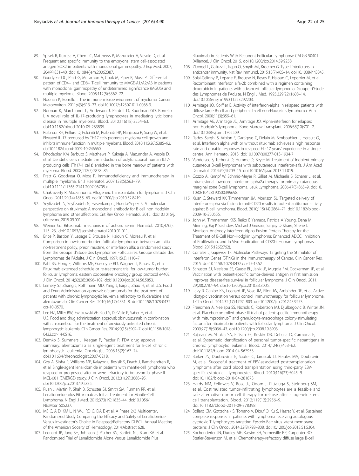- <span id="page-21-0"></span>89. Spisek R, Kukreja A, Chen LC, Matthews P, Mazumder A, Vesole D, et al. Frequent and specific immunity to the embryonal stem cell-associated antigen SOX2 in patients with monoclonal gammopathy. J Exp Med. 2007; 204(4):831–40. doi[:10.1084/jem.20062387.](http://dx.doi.org/10.1084/jem.20062387)
- 90. Goodyear OC, Pratt G, McLarnon A, Cook M, Piper K, Moss P. Differential pattern of CD4+ and CD8+ T-cell immunity to MAGE-A1/A2/A3 in patients with monoclonal gammopathy of undetermined significance (MGUS) and multiple myeloma. Blood. 2008;112(8):3362–72.
- 91. Noonan K, Borrello I. The immune microenvironment of myeloma. Cancer Microenviron. 2011;4(3):313–23. doi[:10.1007/s12307-011-0086-3.](http://dx.doi.org/10.1007/s12307-011-0086-3)
- 92. Noonan K, Marchionni L, Anderson J, Pardoll D, Roodman GD, Borrello I. A novel role of IL-17-producing lymphocytes in mediating lytic bone disease in multiple myeloma. Blood. 2010;116(18):3554–63. doi[:10.1182/blood-2010-05-283895.](http://dx.doi.org/10.1182/blood-2010-05-283895)
- 93. Prabhala RH, Pelluru D, Fulciniti M, Prabhala HK, Nanjappa P, Song W, et al. Elevated IL-17 produced by TH17 cells promotes myeloma cell growth and inhibits immune function in multiple myeloma. Blood. 2010;115(26):5385–92. doi:[10.1182/blood-2009-10-246660](http://dx.doi.org/10.1182/blood-2009-10-246660).
- 94. Dhodapkar KM, Barbuto S, Matthews P, Kukreja A, Mazumder A, Vesole D, et al. Dendritic cells mediate the induction of polyfunctional human IL17 producing cells (Th17-1 cells) enriched in the bone marrow of patients with myeloma. Blood. 2008;112(7):2878–85.
- 95. Pratt G, Goodyear O, Moss P. Immunodeficiency and immunotherapy in multiple myeloma. Br J Haematol. 2007;138(5):563–79. doi[:10.1111/j.1365-2141.2007.06705.x.](http://dx.doi.org/10.1111/j.1365-2141.2007.06705.x)
- 96. Chakraverty R, Mackinnon S. Allogeneic transplantation for lymphoma. J Clin Oncol. 2011;29(14):1855–63. doi:[10.1200/jco.2010.32.8419](http://dx.doi.org/10.1200/jco.2010.32.8419).
- 97. Seyfizadeh N, Seyfizadeh N, Hasenkamp J, Huerta-Yepez S. A molecular perspective on rituximab: A monoclonal antibody for B cell non Hodgkin lymphoma and other affections. Crit Rev Oncol Hematol. 2015. doi:10.1016/j. critrevonc.2015.09.001
- Weiner GJ. Rituximab: mechanism of action. Semin Hematol. 2010;47(2): 115–23. doi:[10.1053/j.seminhematol.2010.01.011](http://dx.doi.org/10.1053/j.seminhematol.2010.01.011).
- 99. Brice P, Bastion Y, Lepage E, Brousse N, Haioun C, Moreau P, et al. Comparison in low-tumor-burden follicular lymphomas between an initial no-treatment policy, prednimustine, or interferon alfa: a randomized study from the Groupe d'Etude des Lymphomes Folliculaires. Groupe d'Etude des Lymphomes de l'Adulte. J Clin Oncol. 1997;15(3):1110–7.
- 100. Kahl BS, Hong F, Williams ME, Gascoyne RD, Wagner LI, Krauss JC, et al. Rituximab extended schedule or re-treatment trial for low-tumor burden follicular lymphoma: eastern cooperative oncology group protocol e4402. J Clin Oncol. 2014;32(28):3096–102. doi:[10.1200/jco.2014.56.5853](http://dx.doi.org/10.1200/jco.2014.56.5853).
- 101. Lemery SJ, Zhang J, Rothmann MD, Yang J, Earp J, Zhao H, et al. U.S. Food and Drug Administration approval: ofatumumab for the treatment of patients with chronic lymphocytic leukemia refractory to fludarabine and alemtuzumab. Clin Cancer Res. 2010;16(17):4331–8. doi[:10.1158/1078-0432.](http://dx.doi.org/10.1158/1078-0432.ccr-10-0570) [ccr-10-0570.](http://dx.doi.org/10.1158/1078-0432.ccr-10-0570)
- 102. Lee HZ, Miller BW, Kwitkowski VE, Ricci S, DelValle P, Saber H, et al. U.S. Food and drug administration approval: obinutuzumab in combination with chlorambucil for the treatment of previously untreated chronic lymphocytic leukemia. Clin Cancer Res. 2014;20(15):3902–7. doi[:10.1158/1078-](http://dx.doi.org/10.1158/1078-0432.ccr-14-0516) [0432.ccr-14-0516](http://dx.doi.org/10.1158/1078-0432.ccr-14-0516).
- 103. Demko S, Summers J, Keegan P, Pazdur R. FDA drug approval summary: alemtuzumab as single-agent treatment for B-cell chronic lymphocytic leukemia. Oncologist. 2008;13(2):167–74. doi[:10.1634/theoncologist.2007-0218](http://dx.doi.org/10.1634/theoncologist.2007-0218).
- 104. Goy A, Sinha R, Williams ME, Kalayoglu Besisik S, Drach J, Ramchandren R, et al. Single-agent lenalidomide in patients with mantle-cell lymphoma who relapsed or progressed after or were refractory to bortezomib: phase II MCL-001 (EMERGE) study. J Clin Oncol. 2013;31(29):3688–95. doi[:10.1200/jco.2013.49.2835](http://dx.doi.org/10.1200/jco.2013.49.2835).
- 105. Ruan J, Martin P, Shah B, Schuster SJ, Smith SM, Furman RR, et al. Lenalidomide plus Rituximab as Initial Treatment for Mantle-Cell Lymphoma. N Engl J Med. 2015;373(19):1835–44. doi:[10.1056/](http://dx.doi.org/10.1056/NEJMoa1505237) [NEJMoa1505237](http://dx.doi.org/10.1056/NEJMoa1505237).
- 106. MS C, A D, KM L, N W-J, RD G, DA E et al. A Phase 2/3 Multicenter, Randomized Study Comparing the Efficacy and Safety of Lenalidomide Versus Investigator's Choice in Relapsed/Refractory DLBCL. Annual Meeting of the American Soceity of Hematology. 2014;Abstract 628.
- 107. Leonard JP, Jung SH, Johnson J, Pitcher BN, Bartlett NL, Blum KA et al. Randomized Trial of Lenalidomide Alone Versus Lenalidomide Plus

Rituximab in Patients With Recurrent Follicular Lymphoma: CALGB 50401 (Alliance). J Clin Oncol. 2015. doi:10.1200/jco.2014.59.9258

- 108. Zitvogel L, Galluzzi L, Kepp O, Smyth MJ, Kroemer G. Type I interferons in anticancer immunity. Nat Rev Immunol. 2015;15(7):405–14. doi[:10.1038/nri3845](http://dx.doi.org/10.1038/nri3845).
- 109. Solal-Celigny P, Lepage E, Brousse N, Reyes F, Haioun C, Leporrier M, et al. Recombinant interferon alfa-2b combined with a regimen containing doxorubicin in patients with advanced follicular lymphoma. Groupe d'Etude des Lymphomes de l'Adulte. N Engl J Med. 1993;329(22):1608–14. doi[:10.1056/nejm199311253292203.](http://dx.doi.org/10.1056/nejm199311253292203)
- 110. Armitage JO, Coiffier B. Activity of interferon-alpha in relapsed patients with diffuse large B-cell and peripheral T-cell non-Hodgkin's lymphoma. Ann Oncol. 2000;11(3):359–61.
- 111. Armitage AE, Armitage JD, Armitage JO. Alpha-interferon for relapsed non-Hodgkin's lymphoma. Bone Marrow Transplant. 2006;38(10):701–2. doi[:10.1038/sj.bmt.1705509](http://dx.doi.org/10.1038/sj.bmt.1705509).
- 112. Radesi-Sarghi S, Arbion F, Dartigeas C, Delain M, Benboubker L, Herault O, et al. Interferon alpha with or without rituximab achieves a high response rate and durable responses in relapsed FL: 17 years' experience in a single centre. Ann Hematol. 2013. doi:10.1007/s00277-013-1934-7
- 113. Vandersee S, Terhorst D, Humme D, Beyer M. Treatment of indolent primary cutaneous B-cell lymphomas with subcutaneous interferon-alfa. J Am Acad Dermatol. 2014;70(4):709–15. doi:[10.1016/j.jaad.2013.11.019.](http://dx.doi.org/10.1016/j.jaad.2013.11.019)
- 114. Cozzio A, Kempf W, Schmid-Meyer R, Gilliet M, Michaelis S, Scharer L, et al. Intra-lesional low-dose interferon alpha2a therapy for primary cutaneous marginal zone B-cell lymphoma. Leuk Lymphoma. 2006;47(5):865–9. doi[:10.](http://dx.doi.org/10.1080/10428190500399698) [1080/10428190500399698.](http://dx.doi.org/10.1080/10428190500399698)
- 115. Xuan C, Steward KK, Timmerman JM, Morrison SL. Targeted delivery of interferon-alpha via fusion to anti-CD20 results in potent antitumor activity against B-cell lymphoma. Blood. 2010;115(14):2864–71. doi:[10.1182/blood-](http://dx.doi.org/10.1182/blood-2009-10-250555)[2009-10-250555.](http://dx.doi.org/10.1182/blood-2009-10-250555)
- 116. John M. Timmerman KKS, Reiko E Yamada, Patricia A Young, Dena M. Minning, Raj K Sachdev, Michael J Gresser, Sanjay D Khare, Sherie L Morrison. Antibody-Interferon-Alpha Fusion Protein Therapy for the Treatment of B-Cell Non-Hodgkin Lymphoma: Enhanced ADCC, Inhibition of Proliferation, and In Vivo Eradication of CD20+ Human Lymphomas. Blood. 2015;126(2762).
- 117. Corrales L, Gajewski TF. Molecular Pathways: Targeting the Stimulator of Interferon Genes (STING) in the Immunotherapy of Cancer. Clin Cancer Res. 2015. doi:10.1158/1078-0432.ccr-15-1362
- 118. Schuster SJ, Neelapu SS, Gause BL, Janik JE, Muggia FM, Gockerman JP, et al. Vaccination with patient-specific tumor-derived antigen in first remission improves disease-free survival in follicular lymphoma. J Clin Oncol. 2011; 29(20):2787–94. doi:[10.1200/jco.2010.33.3005](http://dx.doi.org/10.1200/jco.2010.33.3005).
- 119. Levy R, Ganjoo KN, Leonard JP, Vose JM, Flinn IW, Ambinder RF, et al. Active idiotypic vaccination versus control immunotherapy for follicular lymphoma. J Clin Oncol. 2014;32(17):1797–803. doi:[10.1200/jco.2012.43.9273](http://dx.doi.org/10.1200/jco.2012.43.9273).
- 120. Freedman A, Neelapu SS, Nichols C, Robertson MJ, Djulbegovic B, Winter JN, et al. Placebo-controlled phase III trial of patient-specific immunotherapy with mitumprotimut-T and granulocyte-macrophage colony-stimulating factor after rituximab in patients with follicular lymphoma. J Clin Oncol. 2009;27(18):3036–43. doi:[10.1200/jco.2008.19.8903.](http://dx.doi.org/10.1200/jco.2008.19.8903)
- 121. Rajasagi M, Shukla SA, Fritsch EF, Keskin DB, DeLuca D, Carmona E, et al. Systematic identification of personal tumor-specific neoantigens in chronic lymphocytic leukemia. Blood. 2014;124(3):453–62. doi[:10.1182/blood-2014-04-567933](http://dx.doi.org/10.1182/blood-2014-04-567933).
- 122. Barker JN, Doubrovina E, Sauter C, Jaroscak JJ, Perales MA, Doubrovin M, et al. Successful treatment of EBV-associated posttransplantation lymphoma after cord blood transplantation using third-party EBVspecific cytotoxic T lymphocytes. Blood. 2010;116(23):5045–9. doi[:10.1182/blood-2010-04-281873](http://dx.doi.org/10.1182/blood-2010-04-281873).
- 123. Hardy NM, Fellowes V, Rose JJ, Odom J, Pittaluga S, Steinberg SM, et al. Costimulated tumor-infiltrating lymphocytes are a feasible and safe alternative donor cell therapy for relapse after allogeneic stem cell transplantation. Blood. 2012;119(12):2956–9. doi:[10.1182/blood-2011-09-378398](http://dx.doi.org/10.1182/blood-2011-09-378398).
- 124. Bollard CM, Gottschalk S, Torrano V, Diouf O, Ku S, Hazrat Y, et al. Sustained complete responses in patients with lymphoma receiving autologous cytotoxic T lymphocytes targeting Epstein-Barr virus latent membrane proteins. J Clin Oncol. 2014;32(8):798–808. doi:[10.1200/jco.2013.51.5304.](http://dx.doi.org/10.1200/jco.2013.51.5304)
- 125. Kochenderfer JN, Dudley ME, Kassim SH, Somerville RP, Carpenter RO, Stetler-Stevenson M, et al. Chemotherapy-refractory diffuse large B-cell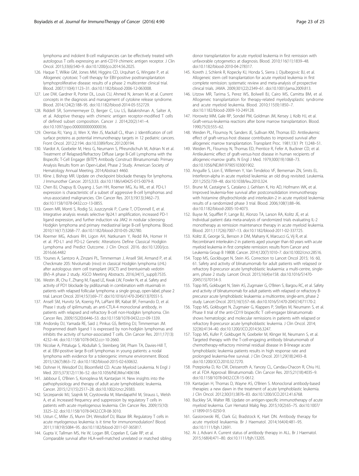<span id="page-22-0"></span>lymphoma and indolent B-cell malignancies can be effectively treated with autologous T cells expressing an anti-CD19 chimeric antigen receptor. J Clin Oncol. 2015;33(6):540–9. doi:[10.1200/jco.2014.56.2025.](http://dx.doi.org/10.1200/jco.2014.56.2025)

- 126. Haque T, Wilkie GM, Jones MM, Higgins CD, Urquhart G, Wingate P, et al. Allogeneic cytotoxic T-cell therapy for EBV-positive posttransplantation lymphoproliferative disease: results of a phase 2 multicenter clinical trial. Blood. 2007;110(4):1123–31. doi:[10.1182/blood-2006-12-063008.](http://dx.doi.org/10.1182/blood-2006-12-063008)
- 127. Lee DW, Gardner R, Porter DL, Louis CU, Ahmed N, Jensen M, et al. Current concepts in the diagnosis and management of cytokine release syndrome. Blood. 2014;124(2):188–95. doi[:10.1182/blood-2014-05-552729](http://dx.doi.org/10.1182/blood-2014-05-552729).
- 128. Riddell SR, Sommermeyer D, Berger C, Liu LS, Balakrishnan A, Salter A, et al. Adoptive therapy with chimeric antigen receptor-modified T cells of defined subset composition. Cancer J. 2014;20(2):141–4. doi[:10.1097/ppo.0000000000000036](http://dx.doi.org/10.1097/ppo.0000000000000036).
- 129. Orentas RJ, Yang JJ, Wen X, Wei JS, Mackall CL, Khan J. Identification of cell surface proteins as potential immunotherapy targets in 12 pediatric cancers. Front Oncol. 2012;2:194. doi[:10.3389/fonc.2012.00194](http://dx.doi.org/10.3389/fonc.2012.00194).
- 130. Viardot A, Goebeler M, Hess G, Neumann S, Pfreundschuh M, Adrian N et al. Treatment of Relapsed/Refractory Diffuse Large B-Cell Lymphoma with the Bispecific T-Cell Engager (BiTE®) Antibody Construct Blinatumomab: Primary Analysis Results from an Open-Label, Phase 2 Study. American Society of Hematology Annual Meeting. 2014;Abstract 4460.
- 131. Kline J, Bishop MR. Update on checkpoint blockade therapy for lymphoma. J Immunother Cancer. 2015;3:33. doi:[10.1186/s40425-015-0079-8](http://dx.doi.org/10.1186/s40425-015-0079-8).
- 132. Chen BJ, Chapuy B, Ouyang J, Sun HH, Roemer MG, Xu ML, et al. PD-L1 expression is characteristic of a subset of aggressive B-cell lymphomas and virus-associated malignancies. Clin Cancer Res. 2013;19(13):3462–73. doi[:10.1158/1078-0432.ccr-13-0855.](http://dx.doi.org/10.1158/1078-0432.ccr-13-0855)
- 133. Green MR, Monti S, Rodig SJ, Juszczynski P, Currie T, O'Donnell E, et al. Integrative analysis reveals selective 9p24.1 amplification, increased PD-1 ligand expression, and further induction via JAK2 in nodular sclerosing Hodgkin lymphoma and primary mediastinal large B-cell lymphoma. Blood. 2010;116(17):3268–77. doi[:10.1182/blood-2010-05-282780](http://dx.doi.org/10.1182/blood-2010-05-282780).
- 134. Roemer MG, Advani RH, Ligon AH, Natkunam Y, Redd RA, Homer H et al. PD-L1 and PD-L2 Genetic Alterations Define Classical Hodgkin Lymphoma and Predict Outcome. J Clin Oncol. 2016. doi:10.1200/jco. 2016.66.4482
- 135. Younes A, Santoro A, Zinzani PL, Timmerman J, Ansell SM, Armand P, et al. Checkmate 205: Nivolumab (nivo) in classical Hodgkin lymphoma (cHL) after autologous stem cell transplant (ASCT) and brentuximab vedotin (BV)–A phase 2 study. ASCO Meeting Abstracts. 2016;34(15\_suppl):7535.
- 136. Westin JR, Chu F, Zhang M, Fayad LE, Kwak LW, Fowler N, et al. Safety and activity of PD1 blockade by pidilizumab in combination with rituximab in patients with relapsed follicular lymphoma: a single group, open-label, phase 2 trial. Lancet Oncol. 2014;15(1):69–77. doi[:10.1016/s1470-2045\(13\)70551-5.](http://dx.doi.org/10.1016/s1470-2045(13)70551-5)
- 137. Ansell SM, Hurvitz SA, Koenig PA, LaPlant BR, Kabat BF, Fernando D, et al. Phase I study of ipilimumab, an anti-CTLA-4 monoclonal antibody, in patients with relapsed and refractory B-cell non-Hodgkin lymphoma. Clin Cancer Res. 2009;15(20):6446–53. doi[:10.1158/1078-0432.ccr-09-1339.](http://dx.doi.org/10.1158/1078-0432.ccr-09-1339)
- 138. Andorsky DJ, Yamada RE, Said J, Pinkus GS, Betting DJ, Timmerman JM. Programmed death ligand 1 is expressed by non-hodgkin lymphomas and inhibits the activity of tumor-associated T cells. Clin Cancer Res. 2011;17(13): 4232–44. doi[:10.1158/1078-0432.ccr-10-2660.](http://dx.doi.org/10.1158/1078-0432.ccr-10-2660)
- 139. Nicolae A, Pittaluga S, Abdullah S, Steinberg SM, Pham TA, Davies-Hill T, et al. EBV-positive large B-cell lymphomas in young patients: a nodal lymphoma with evidence for a tolerogenic immune environment. Blood. 2015;126(7):863–72. doi[:10.1182/blood-2015-02-630632](http://dx.doi.org/10.1182/blood-2015-02-630632).
- 140. Dohner H, Weisdorf DJ, Bloomfield CD. Acute Myeloid Leukemia. N Engl J Med. 2015;373(12):1136–52. doi[:10.1056/NEJMra1406184](http://dx.doi.org/10.1056/NEJMra1406184).
- 141. Jabbour E, O'Brien S, Konopleva M, Kantarjian H. New insights into the pathophysiology and therapy of adult acute lymphoblastic leukemia. Cancer. 2015;121(15):2517–28. doi[:10.1002/cncr.29383.](http://dx.doi.org/10.1002/cncr.29383)
- 142. Szczepanski MJ, Szajnik M, Czystowska M, Mandapathil M, Strauss L, Welsh A, et al. Increased frequency and suppression by regulatory T cells in patients with acute myelogenous leukemia. Clin Cancer Res. 2009;15(10): 3325–32. doi[:10.1158/1078-0432.CCR-08-3010](http://dx.doi.org/10.1158/1078-0432.CCR-08-3010).
- 143. Ustun C, Miller JS, Munn DH, Weisdorf DJ, Blazar BR. Regulatory T cells in acute myelogenous leukemia: is it time for immunomodulation? Blood. 2011;118(19):5084–95. doi[:10.1182/blood-2011-07-365817](http://dx.doi.org/10.1182/blood-2011-07-365817).
- 144. Gupta V, Tallman MS, He W, Logan BR, Copelan E, Gale RP, et al. Comparable survival after HLA-well-matched unrelated or matched sibling

donor transplantation for acute myeloid leukemia in first remission with unfavorable cytogenetics at diagnosis. Blood. 2010;116(11):1839–48. doi[:10.1182/blood-2010-04-278317](http://dx.doi.org/10.1182/blood-2010-04-278317).

- 145. Koreth J, Schlenk R, Kopecky KJ, Honda S, Sierra J, Djulbegovic BJ, et al. Allogeneic stem cell transplantation for acute myeloid leukemia in first complete remission: systematic review and meta-analysis of prospective clinical trials. JAMA. 2009;301(22):2349–61. doi[:10.1001/jama.2009.813](http://dx.doi.org/10.1001/jama.2009.813).
- 146. Litzow MR, Tarima S, Perez WS, Bolwell BJ, Cairo MS, Camitta BM, et al. Allogeneic transplantation for therapy-related myelodysplastic syndrome and acute myeloid leukemia. Blood. 2010;115(9):1850–7. doi[:10.1182/blood-2009-10-249128.](http://dx.doi.org/10.1182/blood-2009-10-249128)
- 147. Horowitz MM, Gale RP, Sondel PM, Goldman JM, Kersey J, Kolb HJ, et al. Graft-versus-leukemia reactions after bone marrow transplantation. Blood. 1990;75(3):555–62.
- 148. Weiden PL, Flournoy N, Sanders JE, Sullivan KM, Thomas ED. Antileukemic effect of graft-versus-host disease contributes to improved survival after allogeneic marrow transplantation. Transplant Proc. 1981;13(1 Pt 1):248–51.
- 149. Weiden PL, Flournoy N, Thomas ED, Prentice R, Fefer A, Buckner CD, et al. Antileukemic effect of graft-versus-host disease in human recipients of allogeneic-marrow grafts. N Engl J Med. 1979;300(19):1068–73. doi[:10.1056/NEJM197905103001902](http://dx.doi.org/10.1056/NEJM197905103001902).
- 150. Anguille S, Lion E, Willemen Y, Van Tendeloo VF, Berneman ZN, Smits EL. Interferon-alpha in acute myeloid leukemia: an old drug revisited. Leukemia. 2011;25(5):739–48. doi:[10.1038/leu.2010.324.](http://dx.doi.org/10.1038/leu.2010.324)
- 151. Brune M, Castaigne S, Catalano J, Gehlsen K, Ho AD, Hofmann WK, et al. Improved leukemia-free survival after postconsolidation immunotherapy with histamine dihydrochloride and interleukin-2 in acute myeloid leukemia: results of a randomized phase 3 trial. Blood. 2006;108(1):88–96. doi[:10.1182/blood-2005-10-4073](http://dx.doi.org/10.1182/blood-2005-10-4073).
- 152. Buyse M, Squifflet P, Lange BJ, Alonzo TA, Larson RA, Kolitz JE, et al. Individual patient data meta-analysis of randomized trials evaluating IL-2 monotherapy as remission maintenance therapy in acute myeloid leukemia. Blood. 2011;117(26):7007–13. doi:[10.1182/blood-2011-02-337725](http://dx.doi.org/10.1182/blood-2011-02-337725).
- 153. Kolitz JE, George SL, Benson Jr DM, Maharry K, Marcucci G, Vij R, et al. Recombinant interleukin-2 in patients aged younger than 60 years with acute myeloid leukemia in first complete remission: results from Cancer and Leukemia Group B 19808. Cancer. 2014;120(7):1010–7. doi:[10.1002/cncr.28516.](http://dx.doi.org/10.1002/cncr.28516)
- 154. Topp MS, Gockbuget N, Stein AS. Correction to Lancet Oncol 2015; 16: 60, 61. Safety and activity of blinatumomab for adult patients with relapsed or refractory B-precursor acute lymphoblastic leukaemia: a multi-centre, singlearm, phase 2 study. Lancet Oncol. 2015;16(4):e158. doi:[10.1016/S1470-](http://dx.doi.org/10.1016/S1470-2045(15)70154-3) [2045\(15\)70154-3](http://dx.doi.org/10.1016/S1470-2045(15)70154-3).
- 155. Topp MS, Gokbuget N, Stein AS, Zugmaier G, O'Brien S, Bargou RC, et al. Safety and activity of blinatumomab for adult patients with relapsed or refractory Bprecursor acute lymphoblastic leukaemia: a multicentre, single-arm, phase 2 study. Lancet Oncol. 2015;16(1):57–66. doi[:10.1016/S1470-2045\(14\)71170-2](http://dx.doi.org/10.1016/S1470-2045(14)71170-2).
- 156. Topp MS, Gokbuget N, Zugmaier G, Klappers P, Stelljes M, Neumann S, et al. Phase II trial of the anti-CD19 bispecific T cell-engager blinatumomab shows hematologic and molecular remissions in patients with relapsed or refractory B-precursor acute lymphoblastic leukemia. J Clin Oncol. 2014; 32(36):4134–40. doi:[10.1200/JCO.2014.56.3247.](http://dx.doi.org/10.1200/JCO.2014.56.3247)
- 157. Topp MS, Kufer P, Gokbuget N, Goebeler M, Klinger M, Neumann S, et al. Targeted therapy with the T-cell-engaging antibody blinatumomab of chemotherapy-refractory minimal residual disease in B-lineage acute lymphoblastic leukemia patients results in high response rate and prolonged leukemia-free survival. J Clin Oncol. 2011;29(18):2493–8. doi[:10.1200/JCO.2010.32.7270.](http://dx.doi.org/10.1200/JCO.2010.32.7270)
- 158. Przepiorka D, Ko CW, Deisseroth A, Yancey CL, Candau-Chacon R, Chiu HJ, et al. FDA Approval: Blinatumomab. Clin Cancer Res. 2015;21(18):4035–9. doi[:10.1158/1078-0432.CCR-15-0612.](http://dx.doi.org/10.1158/1078-0432.CCR-15-0612)
- 159. Kantarjian H, Thomas D, Wayne AS, O'Brien S. Monoclonal antibody-based therapies: a new dawn in the treatment of acute lymphoblastic leukemia. J Clin Oncol. 2012;30(31):3876–83. doi[:10.1200/JCO.2012.41.6768.](http://dx.doi.org/10.1200/JCO.2012.41.6768)
- 160. Buckley SA, Walter RB. Update on antigen-specific immunotherapy of acute myeloid leukemia. Curr Hematol Malig Rep. 2015;10(2):65–75. doi:[10.1007/](http://dx.doi.org/10.1007/s11899-015-0250-9) [s11899-015-0250-9.](http://dx.doi.org/10.1007/s11899-015-0250-9)
- 161. Gasiorowski RE, Clark GJ, Bradstock K, Hart DN. Antibody therapy for acute myeloid leukaemia. Br J Haematol. 2014;164(4):481–95. doi[:10.1111/bjh.12691](http://dx.doi.org/10.1111/bjh.12691).
- 162. Ai J, Advani A. Current status of antibody therapy in ALL. Br J Haematol. 2015;168(4):471–80. doi[:10.1111/bjh.13205.](http://dx.doi.org/10.1111/bjh.13205)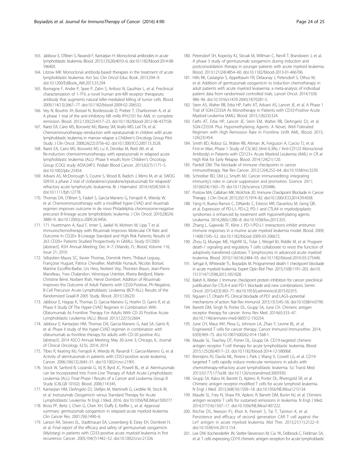- <span id="page-23-0"></span>163. Jabbour E, O'Brien S, Ravandi F, Kantarjian H. Monoclonal antibodies in acute lymphoblastic leukemia. Blood. 2015;125(26):4010–6. doi:[10.1182/blood-2014-08-](http://dx.doi.org/10.1182/blood-2014-08-596403) [596403](http://dx.doi.org/10.1182/blood-2014-08-596403).
- 164. Litzow MR. Monoclonal antibody-based therapies in the treatment of acute lymphoblastic leukemia. Am Soc Clin Oncol Educ Book. 2013:294–9. doi:10.1200/EdBook\_AM.2013.33.294
- 165. Romagne F, Andre P, Spee P, Zahn S, Anfossi N, Gauthier L, et al. Preclinical characterization of 1-7F9, a novel human anti-KIR receptor therapeutic antibody that augments natural killer-mediated killing of tumor cells. Blood. 2009;114(13):2667–77. doi[:10.1182/blood-2009-02-206532](http://dx.doi.org/10.1182/blood-2009-02-206532).
- 166. Vey N, Bourhis JH, Boissel N, Bordessoule D, Prebet T, Charbonnier A, et al. A phase 1 trial of the anti-inhibitory KIR mAb IPH2101 for AML in complete remission. Blood. 2012;120(22):4317–23. doi[:10.1182/blood-2012-06-437558](http://dx.doi.org/10.1182/blood-2012-06-437558).
- 167. Raetz EA, Cairo MS, Borowitz MJ, Blaney SM, Krailo MD, Leil TA, et al. Chemoimmunotherapy reinduction with epratuzumab in children with acute lymphoblastic leukemia in marrow relapse: a Children's Oncology Group Pilot Study. J Clin Oncol. 2008;26(22):3756–62. doi[:10.1200/JCO.2007.15.3528.](http://dx.doi.org/10.1200/JCO.2007.15.3528)
- 168. Raetz EA, Cairo MS, Borowitz MJ, Lu X, Devidas M, Reid JM, et al. Re-induction chemoimmunotherapy with epratuzumab in relapsed acute lymphoblastic leukemia (ALL): Phase II results from Children's Oncology Group (COG) study ADVL04P2. Pediatr Blood Cancer. 2015;62(7):1171–5. doi[:10.1002/pbc.25454](http://dx.doi.org/10.1002/pbc.25454).
- 169. Advani AS, McDonough S, Coutre S, Wood B, Radich J, Mims M, et al. SWOG S0910: a phase 2 trial of clofarabine/cytarabine/epratuzumab for relapsed/ refractory acute lymphocytic leukaemia. Br J Haematol. 2014;165(4):504–9. doi[:10.1111/bjh.12778.](http://dx.doi.org/10.1111/bjh.12778)
- 170. Thomas DA, O'Brien S, Faderl S, Garcia-Manero G, Ferrajoli A, Wierda W, et al. Chemoimmunotherapy with a modified hyper-CVAD and rituximab regimen improves outcome in de novo Philadelphia chromosome-negative precursor B-lineage acute lymphoblastic leukemia. J Clin Oncol. 2010;28(24): 3880–9. doi:[10.1200/jco.2009.26.9456](http://dx.doi.org/10.1200/jco.2009.26.9456).
- 171. 171. Huettmann A, Kaul F, Irmer S, Jaekel N, Mohren M, Lipp T et al. Immunochemotherapy with Rituximab Improves Molecular CR Rate and Outcome In CD20+ B-Lineage Standard and High Risk Patients; Results of 263 CD20+ Patients Studied Prospectively In GMALL Study 07/2003 [abstract]. ASH Annual Meeting; Dec 4–7; Orlando, FL: Blood, Volume 116, Issue 21; 2010
- 172. Sébastien Maury SC, Xavier Thomas, Dominik Heim, Thibaut Leguay, Françoise Huguet, Patrice Chevallier, Mathilde Hunault, Nicolas Boissel, Martine Escoffre-Barbe, Urs Hess, Norbert Vey, Thorsten Braun, Jean-Pierre Marolleau, Yves Chalandon, Véronique Lhéritier, Kheira Beldjord, Marie-Christine Béné, Norbert Ifrah, Hervé Dombret. Addition of Rituximab Improves the Outcome of Adult Patients with CD20-Positive, Ph-Negative, B-Cell Precursor Acute Lymphoblastic Leukemia (BCP-ALL): Results of the Randomized Graall-R 2005 Study. Blood. 2015;126(23)
- 173. Jabbour E, Hagop K, Thomas D, Garcia-Manero G, Hoehn D, Garris R, et al. Phase II Study Of The Hyper-CVAD Regimen In Combination With Ofatumumab As Frontline Therapy For Adults With CD-20 Positive Acute Lymphoblastic Leukemia (ALL). Blood. 2013;122(15):2664.
- 174. Jabbour E, Kantarjian HM, Thomas DA, Garcia-Manero G, Aad SA, Garris R, et al. Phase II study of the hyper-CVAD regimen in combination with ofatumumab as frontline therapy for adults with CD-20 positive ALL [abstract]. 2014 ASCO Annual Meeting; May 30-June 3; Chicago, IL: Journal of Clinical Oncology 32:5s, 2014; 2014
- 175. Tibes R, Keating MJ, Ferrajoli A, Wierda W, Ravandi F, Garcia-Manero G, et al. Activity of alemtuzumab in patients with CD52-positive acute leukemia. Cancer. 2006;106(12):2645–51. doi[:10.1002/cncr.21901.](http://dx.doi.org/10.1002/cncr.21901)
- 176. Stock W, Sanford B, Lozanski G, Vij R, Byrd JC, Powell BL, et al. Alemtuzumab can be Incorporated Into Front-Line Therapy of Adult Acute Lymphoblastic Leukemia (ALL): Final Phase I Results of a Cancer and Leukemia Group B Study (CALGB 10102). Blood. 2006;114:345.
- 177. Kantarjian HM, DeAngelo DJ, Stelljes M, Martinelli G, Liedtke M, Stock W, et al. Inotuzumab Ozogamicin versus Standard Therapy for Acute Lymphoblastic Leukemia. N Engl J Med. 2016. doi:10.1056/NEJMoa1509277
- 178. Bross PF, Beitz J, Chen G, Chen XH, Duffy E, Kieffer L, et al. Approval summary: gemtuzumab ozogamicin in relapsed acute myeloid leukemia. Clin Cancer Res. 2001;7(6):1490–6.
- 179. Larson RA, Sievers EL, Stadtmauer EA, Lowenberg B, Estey EH, Dombret H, et al. Final report of the efficacy and safety of gemtuzumab ozogamicin (Mylotarg) in patients with CD33-positive acute myeloid leukemia in first recurrence. Cancer. 2005;104(7):1442–52. doi[:10.1002/cncr.21326.](http://dx.doi.org/10.1002/cncr.21326)
- 180. Petersdorf SH, Kopecky KJ, Slovak M, Willman C, Nevill T, Brandwein J, et al. A phase 3 study of gemtuzumab ozogamicin during induction and postconsolidation therapy in younger patients with acute myeloid leukemia. Blood. 2013;121(24):4854–60. doi:[10.1182/blood-2013-01-466706](http://dx.doi.org/10.1182/blood-2013-01-466706).
- 181. Hills RK, Castaigne S, Appelbaum FR, Delaunay J, Petersdorf S, Othus M, et al. Addition of gemtuzumab ozogamicin to induction chemotherapy in adult patients with acute myeloid leukaemia: a meta-analysis of individual patient data from randomised controlled trials. Lancet Oncol. 2014;15(9): 986–96. doi:[10.1016/s1470-2045\(14\)70281-5](http://dx.doi.org/10.1016/s1470-2045(14)70281-5).
- 182. Stein AS, Walter RB, Erba HP, Fathi AT, Advani AS, Lancet JE, et al. A Phase 1 Trial of SGN-CD33A As Monotherapy in Patients with CD33-Positive Acute Myeloid Leukemia (AML). Blood. 2015;126(23):324.
- 183. Fathi AT, Erba HP, Lancet JE, Stein EM, Walter RB, DeAngelo DJ, et al. SGN-CD33A Plus Hypomethylating Agents: A Novel, Well-Tolerated Regimen with High Remission Rate in Frontline Unfit AML. Blood. 2015; 126(23):454.
- 184. Smith BD, Roboz GJ, Walter RB, Altman JK, Ferguson A, Curcio TJ, et al. First-in Man, Phase 1 Study of CSL362 (Anti-IL3Rα / Anti-CD123 Monoclonal Antibody) in Patients with CD123+ Acute Myeloid Leukemia (AML) in CR at High Risk for Early Relapse. Blood. 2014;124(21):120.
- 185. Pardoll DM. The blockade of immune checkpoints in cancer immunotherapy. Nat Rev Cancer. 2012;12(4):252–64. doi[:10.1038/nrc3239](http://dx.doi.org/10.1038/nrc3239).
- 186. Schreiber RD, Old LJ, Smyth MJ. Cancer immunoediting: integrating immunity's roles in cancer suppression and promotion. Science. 2011; 331(6024):1565–70. doi[:10.1126/science.1203486](http://dx.doi.org/10.1126/science.1203486).
- 187. Postow MA, Callahan MK, Wolchok JD. Immune Checkpoint Blockade in Cancer Therapy. J Clin Oncol. 2015;33(17):1974–82. doi[:10.1200/JCO.2014.59.4358](http://dx.doi.org/10.1200/JCO.2014.59.4358).
- 188. Yang H, Bueso-Ramos C, DiNardo C, Estecio MR, Davanlou M, Geng QR, et al. Expression of PD-L1, PD-L2, PD-1 and CTLA4 in myelodysplastic syndromes is enhanced by treatment with hypomethylating agents. Leukemia. 2014;28(6):1280–8. doi[:10.1038/leu.2013.355](http://dx.doi.org/10.1038/leu.2013.355).
- 189. Zhang L, Gajewski TF, Kline J. PD-1/PD-L1 interactions inhibit antitumor immune responses in a murine acute myeloid leukemia model. Blood. 2009; 114(8):1545–52. doi:[10.1182/blood-2009-03-206672.](http://dx.doi.org/10.1182/blood-2009-03-206672)
- 190. Zhou Q, Munger ME, Highfill SL, Tolar J, Weigel BJ, Riddle M, et al. Program death-1 signaling and regulatory T cells collaborate to resist the function of adoptively transferred cytotoxic T lymphocytes in advanced acute myeloid leukemia. Blood. 2010;116(14):2484–93. doi:[10.1182/blood-2010-03-275446.](http://dx.doi.org/10.1182/blood-2010-03-275446)
- 191. Sehgal A, Whiteside TL, Boyiadzis M. Programmed death-1 checkpoint blockade in acute myeloid leukemia. Expert Opin Biol Ther. 2015;15(8):1191–203. doi[:10.](http://dx.doi.org/10.1517/14712598.2015.1051028) [1517/14712598.2015.1051028.](http://dx.doi.org/10.1517/14712598.2015.1051028)
- 192. Baksh K, Weber J. Immune checkpoint protein inhibition for cancer: preclinical justification for CTLA-4 and PD-1 blockade and new combinations. Semin Oncol. 2015;42(3):363–77. doi[:10.1053/j.seminoncol.2015.02.015](http://dx.doi.org/10.1053/j.seminoncol.2015.02.015).
- 193. Nguyen LT, Ohashi PS. Clinical blockade of PD1 and LAG3–potential mechanisms of action. Nat Rev Immunol. 2015;15(1):45–56. doi[:10.1038/nri3790.](http://dx.doi.org/10.1038/nri3790)
- 194. Barrett DM, Singh N, Porter DL, Grupp SA, June CH. Chimeric antigen receptor therapy for cancer. Annu Rev Med. 2014;65:333–47. doi[:10.1146/annurev-med-060512-150254.](http://dx.doi.org/10.1146/annurev-med-060512-150254)
- 195. June CH, Maus MV, Plesa G, Johnson LA, Zhao Y, Levine BL, et al. Engineered T cells for cancer therapy. Cancer Immunol Immunother. 2014; 63(9):969–75. doi[:10.1007/s00262-014-1568-1](http://dx.doi.org/10.1007/s00262-014-1568-1).
- 196. Maude SL, Teachey DT, Porter DL, Grupp SA. CD19-targeted chimeric antigen receptor T-cell therapy for acute lymphoblastic leukemia. Blood. 2015;125(26):4017–23. doi[:10.1182/blood-2014-12-580068](http://dx.doi.org/10.1182/blood-2014-12-580068).
- 197. Brentjens RJ, Davila ML, Riviere I, Park J, Wang X, Cowell LG, et al. CD19 targeted T cells rapidly induce molecular remissions in adults with chemotherapy-refractory acute lymphoblastic leukemia. Sci Transl Med. 2013;5(177):177ra38. doi[:10.1126/scitranslmed.3005930.](http://dx.doi.org/10.1126/scitranslmed.3005930)
- 198. Grupp SA, Kalos M, Barrett D, Aplenc R, Porter DL, Rheingold SR, et al. Chimeric antigen receptor-modified T cells for acute lymphoid leukemia. N Engl J Med. 2013;368(16):1509–18. doi[:10.1056/NEJMoa1215134.](http://dx.doi.org/10.1056/NEJMoa1215134)
- 199. Maude SL, Frey N, Shaw PA, Aplenc R, Barrett DM, Bunin NJ, et al. Chimeric antigen receptor T cells for sustained remissions in leukemia. N Engl J Med. 2014;371(16):1507–17. doi[:10.1056/NEJMoa1407222.](http://dx.doi.org/10.1056/NEJMoa1407222)
- 200. Ritchie DS, Neeson PJ, Khot A, Peinert S, Tai T, Tainton K, et al. Persistence and efficacy of second generation CAR T cell against the LeY antigen in acute myeloid leukemia. Mol Ther. 2013;21(11):2122–9. doi[:10.1038/mt.2013.154](http://dx.doi.org/10.1038/mt.2013.154).
- 201. Lee DW, Kochenderfer JN, Stetler-Stevenson M, Cui YK, Delbrook C, Feldman SA, et al. T cells expressing CD19 chimeric antigen receptors for acute lymphoblastic